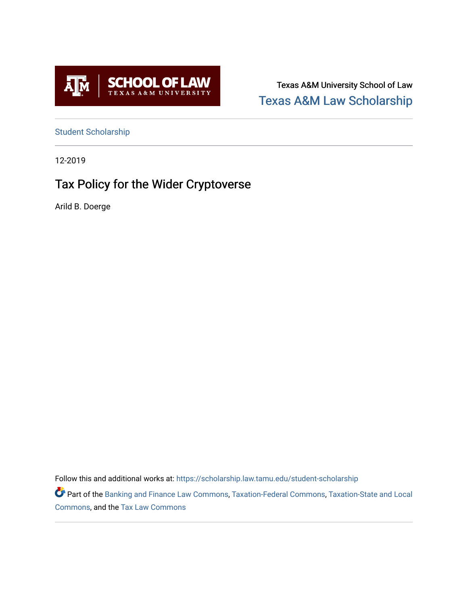

Texas A&M University School of Law [Texas A&M Law Scholarship](https://scholarship.law.tamu.edu/) 

[Student Scholarship](https://scholarship.law.tamu.edu/student-scholarship)

12-2019

# Tax Policy for the Wider Cryptoverse

Arild B. Doerge

Follow this and additional works at: [https://scholarship.law.tamu.edu/student-scholarship](https://scholarship.law.tamu.edu/student-scholarship?utm_source=scholarship.law.tamu.edu%2Fstudent-scholarship%2F25&utm_medium=PDF&utm_campaign=PDFCoverPages) 

Part of the [Banking and Finance Law Commons,](https://network.bepress.com/hgg/discipline/833?utm_source=scholarship.law.tamu.edu%2Fstudent-scholarship%2F25&utm_medium=PDF&utm_campaign=PDFCoverPages) [Taxation-Federal Commons,](https://network.bepress.com/hgg/discipline/881?utm_source=scholarship.law.tamu.edu%2Fstudent-scholarship%2F25&utm_medium=PDF&utm_campaign=PDFCoverPages) [Taxation-State and Local](https://network.bepress.com/hgg/discipline/882?utm_source=scholarship.law.tamu.edu%2Fstudent-scholarship%2F25&utm_medium=PDF&utm_campaign=PDFCoverPages)  [Commons](https://network.bepress.com/hgg/discipline/882?utm_source=scholarship.law.tamu.edu%2Fstudent-scholarship%2F25&utm_medium=PDF&utm_campaign=PDFCoverPages), and the [Tax Law Commons](https://network.bepress.com/hgg/discipline/898?utm_source=scholarship.law.tamu.edu%2Fstudent-scholarship%2F25&utm_medium=PDF&utm_campaign=PDFCoverPages)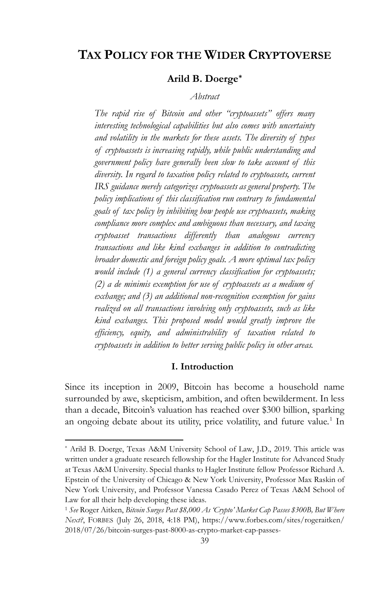## **TAX POLICY FOR THE WIDER CRYPTOVERSE**

## **Arild B. Doerge[\\*](#page-1-0)**

## *Abstract*

*The rapid rise of Bitcoin and other "cryptoassets" offers many interesting technological capabilities but also comes with uncertainty and volatility in the markets for these assets. The diversity of types of cryptoassets is increasing rapidly, while public understanding and government policy have generally been slow to take account of this diversity. In regard to taxation policy related to cryptoassets, current IRS guidance merely categorizes cryptoassets as general property. The policy implications of this classification run contrary to fundamental goals of tax policy by inhibiting how people use cryptoassets, making compliance more complex and ambiguous than necessary, and taxing cryptoasset transactions differently than analogous currency transactions and like kind exchanges in addition to contradicting broader domestic and foreign policy goals. A more optimal tax policy would include (1) a general currency classification for cryptoassets; (2) a de minimis exemption for use of cryptoassets as a medium of exchange; and (3) an additional non-recognition exemption for gains realized on all transactions involving only cryptoassets, such as like kind exchanges. This proposed model would greatly improve the efficiency, equity, and administrability of taxation related to cryptoassets in addition to better serving public policy in other areas.*

#### **I. Introduction**

Since its inception in 2009, Bitcoin has become a household name surrounded by awe, skepticism, ambition, and often bewilderment. In less than a decade, Bitcoin's valuation has reached over \$300 billion, sparking an ongoing debate about its utility, price volatility, and future value.<sup>[1](#page-1-1)</sup> In

<span id="page-1-0"></span><sup>\*</sup> Arild B. Doerge, Texas A&M University School of Law, J.D., 2019. This article was written under a graduate research fellowship for the Hagler Institute for Advanced Study at Texas A&M University. Special thanks to Hagler Institute fellow Professor Richard A. Epstein of the University of Chicago & New York University, Professor Max Raskin of New York University, and Professor Vanessa Casado Perez of Texas A&M School of Law for all their help developing these ideas.

<span id="page-1-1"></span><sup>1</sup> *See* Roger Aitken, *Bitcoin Surges Past \$8,000 As 'Crypto' Market Cap Passes \$300B, But Where Next?*, FORBES (July 26, 2018, 4:18 PM), https://www.forbes.com/sites/rogeraitken/ 2018/07/26/bitcoin-surges-past-8000-as-crypto-market-cap-passes-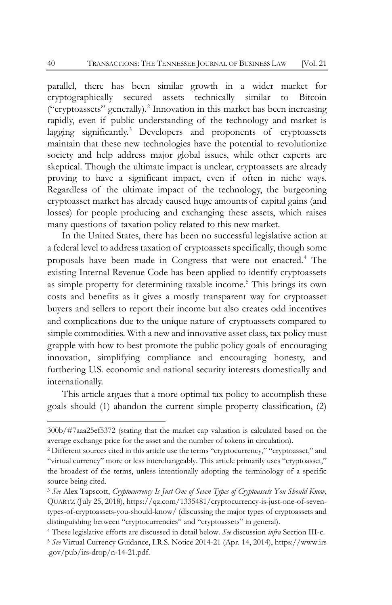parallel, there has been similar growth in a wider market for cryptographically secured assets technically similar to Bitcoin ("cryptoassets" generally).[2](#page-2-0) Innovation in this market has been increasing rapidly, even if public understanding of the technology and market is lagging significantly.<sup>[3](#page-2-1)</sup> Developers and proponents of cryptoassets maintain that these new technologies have the potential to revolutionize society and help address major global issues, while other experts are skeptical. Though the ultimate impact is unclear, cryptoassets are already proving to have a significant impact, even if often in niche ways. Regardless of the ultimate impact of the technology, the burgeoning cryptoasset market has already caused huge amounts of capital gains (and losses) for people producing and exchanging these assets, which raises many questions of taxation policy related to this new market.

In the United States, there has been no successful legislative action at a federal level to address taxation of cryptoassets specifically, though some proposals have been made in Congress that were not enacted.[4](#page-2-2) The existing Internal Revenue Code has been applied to identify cryptoassets as simple property for determining taxable income.[5](#page-2-3) This brings its own costs and benefits as it gives a mostly transparent way for cryptoasset buyers and sellers to report their income but also creates odd incentives and complications due to the unique nature of cryptoassets compared to simple commodities. With a new and innovative asset class, tax policy must grapple with how to best promote the public policy goals of encouraging innovation, simplifying compliance and encouraging honesty, and furthering U.S. economic and national security interests domestically and internationally.

This article argues that a more optimal tax policy to accomplish these goals should (1) abandon the current simple property classification, (2)

<sup>300</sup>b/#7aaa25ef5372 (stating that the market cap valuation is calculated based on the average exchange price for the asset and the number of tokens in circulation).

<span id="page-2-0"></span><sup>2</sup> Different sources cited in this article use the terms "cryptocurrency," "cryptoasset," and "virtual currency" more or less interchangeably. This article primarily uses "cryptoasset," the broadest of the terms, unless intentionally adopting the terminology of a specific source being cited.

<span id="page-2-1"></span><sup>3</sup> *See* Alex Tapscott, *Cryptocurrency Is Just One of Seven Types of Cryptoassets You Should Know*, QUARTZ (July 25, 2018), https://qz.com/1335481/cryptocurrency-is-just-one-of-seventypes-of-cryptoassets-you-should-know/ (discussing the major types of cryptoassets and distinguishing between "cryptocurrencies" and "cryptoassets" in general).

<span id="page-2-3"></span><span id="page-2-2"></span><sup>4</sup> These legislative efforts are discussed in detail below. *See* discussion *infra* Section III-c. <sup>5</sup> *See* Virtual Currency Guidance, I.R.S. Notice 2014-21 (Apr. 14, 2014), https://www.irs .gov/pub/irs-drop/n-14-21.pdf.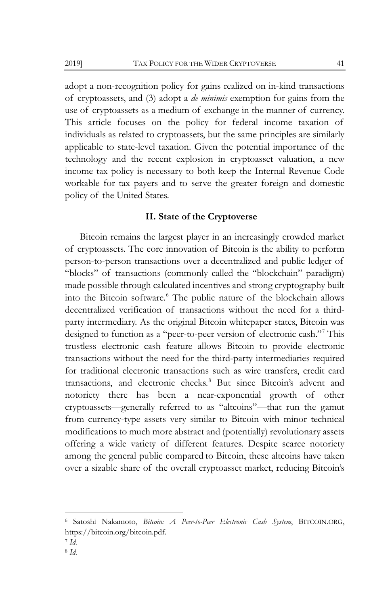adopt a non-recognition policy for gains realized on in-kind transactions of cryptoassets, and (3) adopt a *de minimis* exemption for gains from the use of cryptoassets as a medium of exchange in the manner of currency. This article focuses on the policy for federal income taxation of individuals as related to cryptoassets, but the same principles are similarly applicable to state-level taxation. Given the potential importance of the technology and the recent explosion in cryptoasset valuation, a new income tax policy is necessary to both keep the Internal Revenue Code workable for tax payers and to serve the greater foreign and domestic policy of the United States.

#### **II. State of the Cryptoverse**

Bitcoin remains the largest player in an increasingly crowded market of cryptoassets. The core innovation of Bitcoin is the ability to perform person-to-person transactions over a decentralized and public ledger of "blocks" of transactions (commonly called the "blockchain" paradigm) made possible through calculated incentives and strong cryptography built into the Bitcoin software.[6](#page-3-0) The public nature of the blockchain allows decentralized verification of transactions without the need for a thirdparty intermediary. As the original Bitcoin whitepaper states, Bitcoin was designed to function as a "peer-to-peer version of electronic cash."[7](#page-3-1) This trustless electronic cash feature allows Bitcoin to provide electronic transactions without the need for the third-party intermediaries required for traditional electronic transactions such as wire transfers, credit card transactions, and electronic checks.<sup>[8](#page-3-2)</sup> But since Bitcoin's advent and notoriety there has been a near-exponential growth of other cryptoassets—generally referred to as "altcoins"—that run the gamut from currency-type assets very similar to Bitcoin with minor technical modifications to much more abstract and (potentially) revolutionary assets offering a wide variety of different features. Despite scarce notoriety among the general public compared to Bitcoin, these altcoins have taken over a sizable share of the overall cryptoasset market, reducing Bitcoin's

<span id="page-3-0"></span><sup>6</sup> Satoshi Nakamoto, *Bitcoin: A Peer-to-Peer Electronic Cash System*, BITCOIN.ORG, https://bitcoin.org/bitcoin.pdf.

<span id="page-3-1"></span><sup>7</sup> *Id.*

<span id="page-3-2"></span><sup>8</sup> *Id.*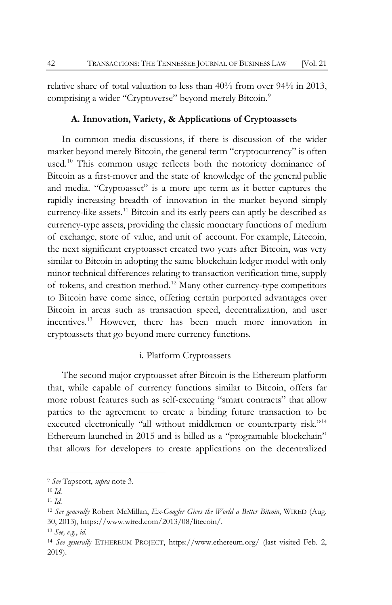relative share of total valuation to less than 40% from over 94% in 2013, comprising a wider "Cryptoverse" beyond merely Bitcoin.<sup>[9](#page-4-0)</sup>

## **A. Innovation, Variety, & Applications of Cryptoassets**

In common media discussions, if there is discussion of the wider market beyond merely Bitcoin, the general term "cryptocurrency" is often used.<sup>[10](#page-4-1)</sup> This common usage reflects both the notoriety dominance of Bitcoin as a first-mover and the state of knowledge of the general public and media. "Cryptoasset" is a more apt term as it better captures the rapidly increasing breadth of innovation in the market beyond simply currency-like assets.<sup>[11](#page-4-2)</sup> Bitcoin and its early peers can aptly be described as currency-type assets, providing the classic monetary functions of medium of exchange, store of value, and unit of account. For example, Litecoin, the next significant cryptoasset created two years after Bitcoin, was very similar to Bitcoin in adopting the same blockchain ledger model with only minor technical differences relating to transaction verification time, supply of tokens, and creation method.[12](#page-4-3) Many other currency-type competitors to Bitcoin have come since, offering certain purported advantages over Bitcoin in areas such as transaction speed, decentralization, and user incentives.[13](#page-4-4) However, there has been much more innovation in cryptoassets that go beyond mere currency functions.

## i. Platform Cryptoassets

The second major cryptoasset after Bitcoin is the Ethereum platform that, while capable of currency functions similar to Bitcoin, offers far more robust features such as self-executing "smart contracts" that allow parties to the agreement to create a binding future transaction to be executed electronically "all without middlemen or counterparty risk."[14](#page-4-5) Ethereum launched in 2015 and is billed as a "programable blockchain" that allows for developers to create applications on the decentralized

<span id="page-4-0"></span><sup>9</sup> *See* Tapscott, *supra* note 3.

<span id="page-4-1"></span><sup>10</sup> *Id.*

<span id="page-4-2"></span><sup>11</sup> *Id.*

<span id="page-4-3"></span><sup>12</sup> *See generally* Robert McMillan, *Ex-Googler Gives the World a Better Bitcoin*, WIRED (Aug. 30, 2013), https://www.wired.com/2013/08/litecoin/.

<span id="page-4-4"></span><sup>13</sup> *See, e.g.*, *id.*

<span id="page-4-5"></span><sup>14</sup> *See generally* ETHEREUM PROJECT, https://www.ethereum.org/ (last visited Feb. 2, 2019).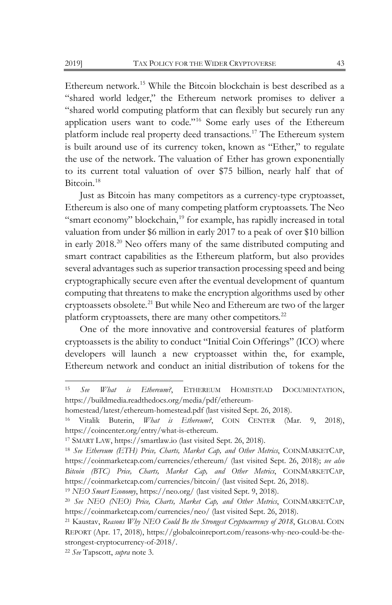Ethereum network.[15](#page-5-0) While the Bitcoin blockchain is best described as a "shared world ledger," the Ethereum network promises to deliver a "shared world computing platform that can flexibly but securely run any application users want to code."[16](#page-5-1) Some early uses of the Ethereum platform include real property deed transactions.[17](#page-5-2) The Ethereum system is built around use of its currency token, known as "Ether," to regulate the use of the network. The valuation of Ether has grown exponentially to its current total valuation of over \$75 billion, nearly half that of Bitcoin.<sup>[18](#page-5-3)</sup>

Just as Bitcoin has many competitors as a currency-type cryptoasset, Ethereum is also one of many competing platform cryptoassets. The Neo "smart economy" blockchain,<sup>[19](#page-5-4)</sup> for example, has rapidly increased in total valuation from under \$6 million in early 2017 to a peak of over \$10 billion in early 2018.[20](#page-5-5) Neo offers many of the same distributed computing and smart contract capabilities as the Ethereum platform, but also provides several advantages such as superior transaction processing speed and being cryptographically secure even after the eventual development of quantum computing that threatens to make the encryption algorithms used by other cryptoassets obsolete.<sup>[21](#page-5-6)</sup> But while Neo and Ethereum are two of the larger platform cryptoassets, there are many other competitors.<sup>[22](#page-5-7)</sup>

One of the more innovative and controversial features of platform cryptoassets is the ability to conduct "Initial Coin Offerings" (ICO) where developers will launch a new cryptoasset within the, for example, Ethereum network and conduct an initial distribution of tokens for the

<span id="page-5-0"></span><sup>15</sup> *See What is Ethereum?*, ETHEREUM HOMESTEAD DOCUMENTATION, https://buildmedia.readthedocs.org/media/pdf/ethereum-

homestead/latest/ethereum-homestead.pdf (last visited Sept. 26, 2018).

<span id="page-5-1"></span><sup>16</sup> Vitalik Buterin, *What is Ethereum?*, COIN CENTER (Mar. 9, 2018), https://coincenter.org/entry/what-is-ethereum.

<span id="page-5-2"></span><sup>17</sup> SMART LAW, https://smartlaw.io (last visited Sept. 26, 2018).

<span id="page-5-3"></span><sup>18</sup> *See Ethereum (ETH) Price, Charts, Market Cap, and Other Metrics*, COINMARKETCAP, https://coinmarketcap.com/currencies/ethereum/ (last visited Sept. 26, 2018); *see also Bitcoin (BTC) Price, Charts, Market Cap, and Other Metrics*, COINMARKETCAP, https://coinmarketcap.com/currencies/bitcoin/ (last visited Sept. 26, 2018).

<span id="page-5-4"></span><sup>19</sup> *NEO Smart Economy*, https://neo.org/ (last visited Sept. 9, 2018).

<span id="page-5-5"></span><sup>20</sup> *See NEO (NEO) Price, Charts, Market Cap, and Other Metrics*, COINMARKETCAP, https://coinmarketcap.com/currencies/neo/ (last visited Sept. 26, 2018).

<span id="page-5-6"></span><sup>21</sup> Kaustav, *Reasons Why NEO Could Be the Strongest Cryptocurrency of 2018*, GLOBAL COIN REPORT (Apr. 17, 2018), https://globalcoinreport.com/reasons-why-neo-could-be-thestrongest-cryptocurrency-of-2018/.

<span id="page-5-7"></span><sup>22</sup> *See* Tapscott, *supra* note 3.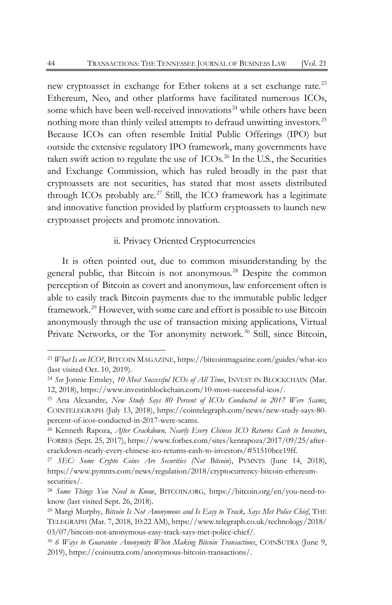new cryptoasset in exchange for Ether tokens at a set exchange rate.<sup>[23](#page-6-0)</sup> Ethereum, Neo, and other platforms have facilitated numerous ICOs, some which have been well-received innovations<sup>[24](#page-6-1)</sup> while others have been nothing more than thinly veiled attempts to defraud unwitting investors.<sup>[25](#page-6-2)</sup> Because ICOs can often resemble Initial Public Offerings (IPO) but outside the extensive regulatory IPO framework, many governments have taken swift action to regulate the use of  $ICOs$ .<sup>[26](#page-6-3)</sup> In the U.S., the Securities and Exchange Commission, which has ruled broadly in the past that cryptoassets are not securities, has stated that most assets distributed through ICOs probably are. $27$  Still, the ICO framework has a legitimate and innovative function provided by platform cryptoassets to launch new cryptoasset projects and promote innovation.

## ii. Privacy Oriented Cryptocurrencies

It is often pointed out, due to common misunderstanding by the general public, that Bitcoin is not anonymous.<sup>[28](#page-6-5)</sup> Despite the common perception of Bitcoin as covert and anonymous, law enforcement often is able to easily track Bitcoin payments due to the immutable public ledger framework.[29](#page-6-6) However, with some care and effort is possible to use Bitcoin anonymously through the use of transaction mixing applications, Virtual Private Networks, or the Tor anonymity network.<sup>[30](#page-6-7)</sup> Still, since Bitcoin,

<span id="page-6-7"></span><sup>30</sup> *6 Ways to Guarantee Anonymity When Making Bitcoin Transactions*, COINSUTRA (June 9, 2019), https://coinsutra.com/anonymous-bitcoin-transactions/.

<span id="page-6-0"></span><sup>23</sup> *What Is an ICO?*, BITCOIN MAGAZINE, https://bitcoinmagazine.com/guides/what-ico (last visited Oct. 10, 2019).

<span id="page-6-1"></span><sup>24</sup> *See* Jonnie Emsley, *10 Most Successful ICOs of All Time*, INVEST IN BLOCKCHAIN (Mar. 12, 2018), https://www.investinblockchain.com/10-most-successful-icos/.

<span id="page-6-2"></span><sup>25</sup> Ana Alexandre, *New Study Says 80 Percent of ICOs Conducted in 2017 Were Scams*, COINTELEGRAPH (July 13, 2018), https://cointelegraph.com/news/new-study-says-80 percent-of-icos-conducted-in-2017-were-scams.

<span id="page-6-3"></span><sup>26</sup> Kenneth Rapoza, *After Crackdown, Nearly Every Chinese ICO Returns Cash to Investors*, FORBES (Sept. 25, 2017), https://www.forbes.com/sites/kenrapoza/2017/09/25/aftercrackdown-nearly-every-chinese-ico-returns-cash-to-investors/#51510bce19ff.

<span id="page-6-4"></span><sup>27</sup> *SEC: Some Crypto Coins Are Securities (Not Bitcoin*), PYMNTS (June 14, 2018), https://www.pymnts.com/news/regulation/2018/cryptocurrency-bitcoin-ethereumsecurities/.

<span id="page-6-5"></span><sup>28</sup> *Some Things You Need to Know*, BITCOIN.ORG, https://bitcoin.org/en/you-need-toknow (last visited Sept. 26, 2018).

<span id="page-6-6"></span><sup>29</sup> Margi Murphy, *Bitcoin Is Not Anonymous and Is Easy to Track, Says Met Police Chief*, THE TELEGRAPH (Mar. 7, 2018, 10:22 AM), https://www.telegraph.co.uk/technology/2018/ 03/07/bitcoin-not-anonymous-easy-track-says-met-police-chief/.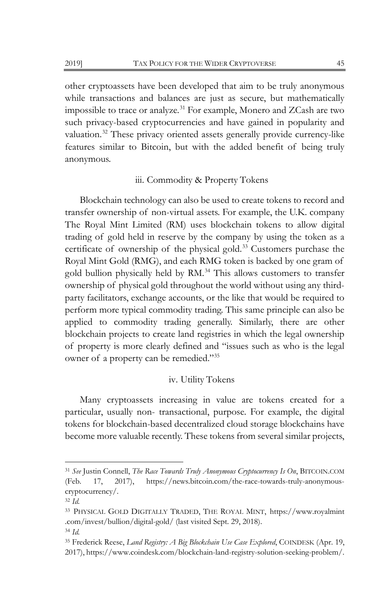other cryptoassets have been developed that aim to be truly anonymous while transactions and balances are just as secure, but mathematically impossible to trace or analyze.<sup>[31](#page-7-0)</sup> For example, Monero and ZCash are two such privacy-based cryptocurrencies and have gained in popularity and valuation.<sup>[32](#page-7-1)</sup> These privacy oriented assets generally provide currency-like features similar to Bitcoin, but with the added benefit of being truly anonymous.

## iii. Commodity & Property Tokens

Blockchain technology can also be used to create tokens to record and transfer ownership of non-virtual assets. For example, the U.K. company The Royal Mint Limited (RM) uses blockchain tokens to allow digital trading of gold held in reserve by the company by using the token as a certificate of ownership of the physical gold.[33](#page-7-2) Customers purchase the Royal Mint Gold (RMG), and each RMG token is backed by one gram of gold bullion physically held by RM.<sup>[34](#page-7-3)</sup> This allows customers to transfer ownership of physical gold throughout the world without using any thirdparty facilitators, exchange accounts, or the like that would be required to perform more typical commodity trading. This same principle can also be applied to commodity trading generally. Similarly, there are other blockchain projects to create land registries in which the legal ownership of property is more clearly defined and "issues such as who is the legal owner of a property can be remedied."[35](#page-7-4)

## iv. Utility Tokens

Many cryptoassets increasing in value are tokens created for a particular, usually non- transactional, purpose. For example, the digital tokens for blockchain-based decentralized cloud storage blockchains have become more valuable recently. These tokens from several similar projects,

<span id="page-7-0"></span><sup>31</sup> *See* Justin Connell, *The Race Towards Truly Anonymous Cryptocurrency Is On*, BITCOIN.COM (Feb. 17, 2017), https://news.bitcoin.com/the-race-towards-truly-anonymouscryptocurrency/.

<span id="page-7-1"></span><sup>32</sup> *Id.*

<span id="page-7-2"></span><sup>33</sup> PHYSICAL GOLD DIGITALLY TRADED, THE ROYAL MINT, https://www.royalmint .com/invest/bullion/digital-gold/ (last visited Sept. 29, 2018). <sup>34</sup> *Id.*

<span id="page-7-4"></span><span id="page-7-3"></span><sup>35</sup> Frederick Reese, *Land Registry: A Big Blockchain Use Case Explored*, COINDESK (Apr. 19, 2017), https://www.coindesk.com/blockchain-land-registry-solution-seeking-problem/.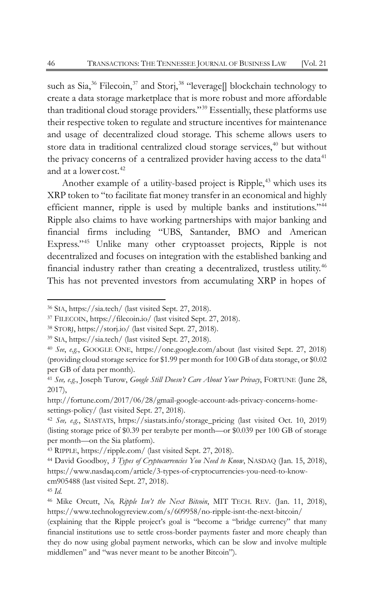such as Sia,<sup>[36](#page-8-0)</sup> Filecoin,<sup>[37](#page-8-1)</sup> and Storj,<sup>[38](#page-8-2)</sup> "leverage[] blockchain technology to create a data storage marketplace that is more robust and more affordable than traditional cloud storage providers."[39](#page-8-3) Essentially, these platforms use their respective token to regulate and structure incentives for maintenance and usage of decentralized cloud storage. This scheme allows users to store data in traditional centralized cloud storage services,<sup>[40](#page-8-4)</sup> but without the privacy concerns of a centralized provider having access to the data $41$ and at a lower cost.<sup>[42](#page-8-6)</sup>

Another example of a utility-based project is Ripple,<sup>[43](#page-8-7)</sup> which uses its XRP token to "to facilitate fiat money transfer in an economical and highly efficient manner, ripple is used by multiple banks and institutions."[44](#page-8-8) Ripple also claims to have working partnerships with major banking and financial firms including "UBS, Santander, BMO and American Express."[45](#page-8-9) Unlike many other cryptoasset projects, Ripple is not decentralized and focuses on integration with the established banking and financial industry rather than creating a decentralized, trustless utility.[46](#page-8-10) This has not prevented investors from accumulating XRP in hopes of

<span id="page-8-0"></span><sup>36</sup> SIA, https://sia.tech/ (last visited Sept. 27, 2018).

<span id="page-8-1"></span><sup>37</sup> FILECOIN, https://filecoin.io/ (last visited Sept. 27, 2018).

<span id="page-8-2"></span><sup>38</sup> STORJ, https://storj.io/ (last visited Sept. 27, 2018).

<span id="page-8-3"></span><sup>39</sup> SIA, https://sia.tech/ (last visited Sept. 27, 2018).

<span id="page-8-4"></span><sup>40</sup> *See*, *e.g.*, GOOGLE ONE, https://one.google.com/about (last visited Sept. 27, 2018) (providing cloud storage service for \$1.99 per month for 100 GB of data storage, or \$0.02 per GB of data per month).

<span id="page-8-5"></span><sup>41</sup> *See, e.g.*, Joseph Turow, *Google Still Doesn't Care About Your Privacy*, FORTUNE (June 28, 2017),

http://fortune.com/2017/06/28/gmail-google-account-ads-privacy-concerns-homesettings-policy/ (last visited Sept. 27, 2018).

<span id="page-8-6"></span><sup>42</sup> *See, e.g.*, SIASTATS, https://siastats.info/storage\_pricing (last visited Oct. 10, 2019) (listing storage price of \$0.39 per terabyte per month—or \$0.039 per 100 GB of storage per month—on the Sia platform).

<span id="page-8-7"></span><sup>43</sup> RIPPLE, https://ripple.com/ (last visited Sept. 27, 2018).

<span id="page-8-8"></span><sup>44</sup> David Goodboy, *3 Types of Cryptocurrencies You Need to Know*, NASDAQ (Jan. 15, 2018), https://www.nasdaq.com/article/3-types-of-cryptocurrencies-you-need-to-knowcm905488 (last visited Sept. 27, 2018).

<span id="page-8-9"></span><sup>45</sup> *Id.*

<span id="page-8-10"></span><sup>46</sup> Mike Orcutt, *No, Ripple Isn't the Next Bitcoin*, MIT TECH. REV. (Jan. 11, 2018), https://www.technologyreview.com/s/609958/no-ripple-isnt-the-next-bitcoin/

<sup>(</sup>explaining that the Ripple project's goal is "become a "bridge currency" that many financial institutions use to settle cross-border payments faster and more cheaply than they do now using global payment networks, which can be slow and involve multiple middlemen" and "was never meant to be another Bitcoin").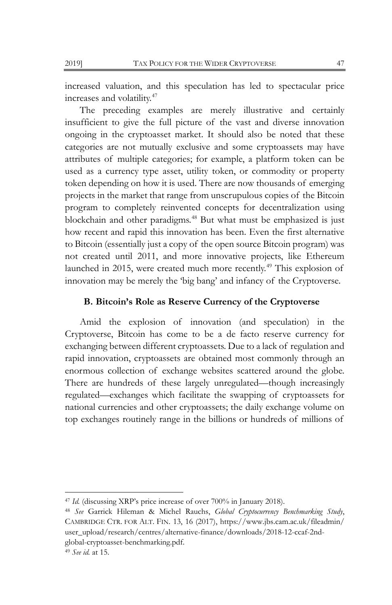increased valuation, and this speculation has led to spectacular price increases and volatility.[47](#page-9-0)

The preceding examples are merely illustrative and certainly insufficient to give the full picture of the vast and diverse innovation ongoing in the cryptoasset market. It should also be noted that these categories are not mutually exclusive and some cryptoassets may have attributes of multiple categories; for example, a platform token can be used as a currency type asset, utility token, or commodity or property token depending on how it is used. There are now thousands of emerging projects in the market that range from unscrupulous copies of the Bitcoin program to completely reinvented concepts for decentralization using blockchain and other paradigms.[48](#page-9-1) But what must be emphasized is just how recent and rapid this innovation has been. Even the first alternative to Bitcoin (essentially just a copy of the open source Bitcoin program) was not created until 2011, and more innovative projects, like Ethereum launched in 2015, were created much more recently.<sup>[49](#page-9-2)</sup> This explosion of innovation may be merely the 'big bang' and infancy of the Cryptoverse.

## **B. Bitcoin's Role as Reserve Currency of the Cryptoverse**

Amid the explosion of innovation (and speculation) in the Cryptoverse, Bitcoin has come to be a de facto reserve currency for exchanging between different cryptoassets. Due to a lack of regulation and rapid innovation, cryptoassets are obtained most commonly through an enormous collection of exchange websites scattered around the globe. There are hundreds of these largely unregulated—though increasingly regulated—exchanges which facilitate the swapping of cryptoassets for national currencies and other cryptoassets; the daily exchange volume on top exchanges routinely range in the billions or hundreds of millions of

<span id="page-9-0"></span><sup>47</sup> *Id.* (discussing XRP's price increase of over 700% in January 2018).

<span id="page-9-2"></span><span id="page-9-1"></span><sup>48</sup> *See* Garrick Hileman & Michel Rauchs, *Global Cryptocurrency Benchmarking Study*, CAMBRIDGE CTR. FOR ALT. FIN. 13, 16 (2017), https://www.jbs.cam.ac.uk/fileadmin/ user\_upload/research/centres/alternative-finance/downloads/2018-12-ccaf-2ndglobal-cryptoasset-benchmarking.pdf. <sup>49</sup> *See id.* at 15.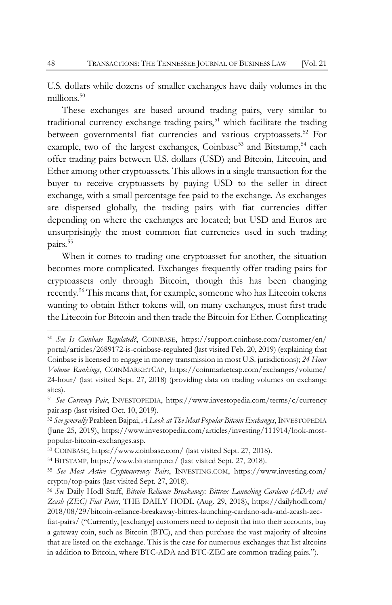U.S. dollars while dozens of smaller exchanges have daily volumes in the millions.<sup>[50](#page-10-0)</sup>

These exchanges are based around trading pairs, very similar to traditional currency exchange trading pairs,<sup>[51](#page-10-1)</sup> which facilitate the trading between governmental fiat currencies and various cryptoassets.<sup>[52](#page-10-2)</sup> For example, two of the largest exchanges, Coinbase<sup>[53](#page-10-3)</sup> and Bitstamp,<sup>[54](#page-10-4)</sup> each offer trading pairs between U.S. dollars (USD) and Bitcoin, Litecoin, and Ether among other cryptoassets. This allows in a single transaction for the buyer to receive cryptoassets by paying USD to the seller in direct exchange, with a small percentage fee paid to the exchange. As exchanges are dispersed globally, the trading pairs with fiat currencies differ depending on where the exchanges are located; but USD and Euros are unsurprisingly the most common fiat currencies used in such trading pairs.<sup>[55](#page-10-5)</sup>

When it comes to trading one cryptoasset for another, the situation becomes more complicated. Exchanges frequently offer trading pairs for cryptoassets only through Bitcoin, though this has been changing recently.[56](#page-10-6) This means that, for example, someone who has Litecoin tokens wanting to obtain Ether tokens will, on many exchanges, must first trade the Litecoin for Bitcoin and then trade the Bitcoin for Ether. Complicating

<span id="page-10-0"></span><sup>50</sup> *See Is Coinbase Regulated?*, COINBASE, https://support.coinbase.com/customer/en/ portal/articles/2689172-is-coinbase-regulated (last visited Feb. 20, 2019) (explaining that Coinbase is licensed to engage in money transmission in most U.S. jurisdictions); *24 Hour Volume Rankings*, COINMARKETCAP, https://coinmarketcap.com/exchanges/volume/ 24-hour/ (last visited Sept. 27, 2018) (providing data on trading volumes on exchange sites).

<span id="page-10-1"></span><sup>51</sup> *See Currency Pair*, INVESTOPEDIA, https:[//www.investopedia.com/terms/c/currency](http://www.investopedia.com/terms/c/currencypair.asp) [pair.asp \(](http://www.investopedia.com/terms/c/currencypair.asp)last visited Oct. 10, 2019).

<span id="page-10-2"></span><sup>52</sup> *See generally* Prableen Bajpai, *A Look at The Most Popular Bitcoin Exchanges*, INVESTOPEDIA (June 25, 2019), https://www.investopedia.com/articles/investing/111914/look-mostpopular-bitcoin-exchanges.asp.

<span id="page-10-3"></span><sup>53</sup> COINBASE, https://www.coinbase.com/ (last visited Sept. 27, 2018).

<span id="page-10-4"></span><sup>54</sup> BITSTAMP, https://www.bitstamp.net/ (last visited Sept. 27, 2018).

<span id="page-10-5"></span><sup>55</sup> *See Most Active Cryptocurrency Pairs*, INVESTING.COM, https://www.investing.com/ crypto/top-pairs (last visited Sept. 27, 2018).

<span id="page-10-6"></span><sup>56</sup> *See* Daily Hodl Staff, *Bitcoin Reliance Breakaway: Bittrex Launching Cardano (ADA) and Zcash (ZEC) Fiat Pairs*, THE DAILY HODL (Aug. 29, 2018), https://dailyhodl.com/ 2018/08/29/bitcoin-reliance-breakaway-bittrex-launching-cardano-ada-and-zcash-zec-

fiat-pairs/ ("Currently, [exchange] customers need to deposit fiat into their accounts, buy a gateway coin, such as Bitcoin (BTC), and then purchase the vast majority of altcoins that are listed on the exchange. This is the case for numerous exchanges that list altcoins in addition to Bitcoin, where BTC-ADA and BTC-ZEC are common trading pairs.").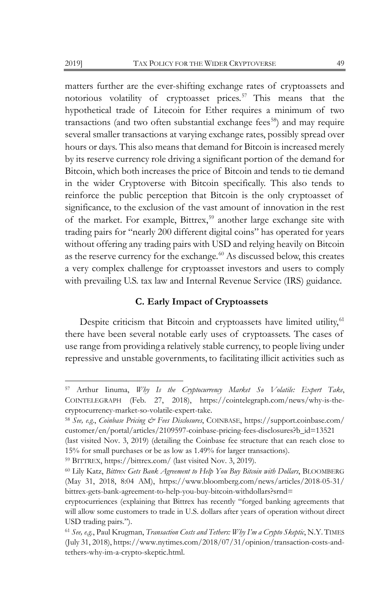matters further are the ever-shifting exchange rates of cryptoassets and notorious volatility of cryptoasset prices.<sup>[57](#page-11-0)</sup> This means that the hypothetical trade of Litecoin for Ether requires a minimum of two transactions (and two often substantial exchange fees<sup>58</sup>) and may require several smaller transactions at varying exchange rates, possibly spread over hours or days. This also means that demand for Bitcoin is increased merely by its reserve currency role driving a significant portion of the demand for Bitcoin, which both increases the price of Bitcoin and tends to tie demand in the wider Cryptoverse with Bitcoin specifically. This also tends to reinforce the public perception that Bitcoin is the only cryptoasset of significance, to the exclusion of the vast amount of innovation in the rest of the market. For example, Bittrex,<sup>[59](#page-11-2)</sup> another large exchange site with trading pairs for "nearly 200 different digital coins" has operated for years without offering any trading pairs with USD and relying heavily on Bitcoin as the reserve currency for the exchange.<sup>[60](#page-11-3)</sup> As discussed below, this creates a very complex challenge for cryptoasset investors and users to comply with prevailing U.S. tax law and Internal Revenue Service (IRS) guidance.

## **C. Early Impact of Cryptoassets**

Despite criticism that Bitcoin and cryptoassets have limited utility,<sup>[61](#page-11-4)</sup> there have been several notable early uses of cryptoassets. The cases of use range from providing a relatively stable currency, to people living under repressive and unstable governments, to facilitating illicit activities such as

<span id="page-11-0"></span><sup>57</sup> Arthur Iinuma, *Why Is the Cryptocurrency Market So Volatile: Expert Take*, COINTELEGRAPH (Feb. 27, 2018), https://cointelegraph.com/news/why-is-thecryptocurrency-market-so-volatile-expert-take.

<span id="page-11-1"></span><sup>58</sup> *See, e.g.*, *Coinbase Pricing & Fees Disclosures*, COINBASE, https://support.coinbase.com/ customer/en/portal/articles/2109597-coinbase-pricing-fees-disclosures?b\_id=13521

<sup>(</sup>last visited Nov. 3, 2019) (detailing the Coinbase fee structure that can reach close to 15% for small purchases or be as low as 1.49% for larger transactions).

<span id="page-11-2"></span><sup>59</sup> BITTREX, https://bittrex.com/ (last visited Nov. 3, 2019).

<span id="page-11-3"></span><sup>60</sup> Lily Katz, *Bittrex Gets Bank Agreement to Help You Buy Bitcoin with Dollars*, BLOOMBERG (May 31, 2018, 8:04 AM), https://www.bloomberg.com/news/articles/2018-05-31/ bittrex-gets-bank-agreement-to-help-you-buy-bitcoin-withdollars?srnd=

cryptocurriences (explaining that Bittrex has recently "forged banking agreements that will allow some customers to trade in U.S. dollars after years of operation without direct USD trading pairs.").

<span id="page-11-4"></span><sup>61</sup> *See, e.g.*, Paul Krugman, *Transaction Costs and Tethers: Why I'm a Crypto Skeptic*, N.Y. TIMES (July 31, 2018), https://www.nytimes.com/2018/07/31/opinion/transaction-costs-andtethers-why-im-a-crypto-skeptic.html.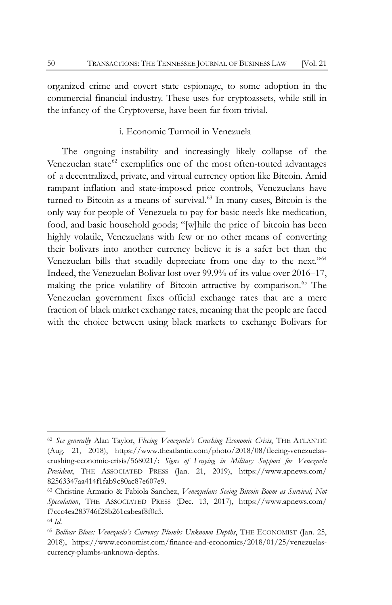organized crime and covert state espionage, to some adoption in the commercial financial industry. These uses for cryptoassets, while still in the infancy of the Cryptoverse, have been far from trivial.

## i. Economic Turmoil in Venezuela

The ongoing instability and increasingly likely collapse of the Venezuelan state $62$  exemplifies one of the most often-touted advantages of a decentralized, private, and virtual currency option like Bitcoin. Amid rampant inflation and state-imposed price controls, Venezuelans have turned to Bitcoin as a means of survival.<sup>[63](#page-12-1)</sup> In many cases, Bitcoin is the only way for people of Venezuela to pay for basic needs like medication, food, and basic household goods; "[w]hile the price of bitcoin has been highly volatile, Venezuelans with few or no other means of converting their bolivars into another currency believe it is a safer bet than the Venezuelan bills that steadily depreciate from one day to the next."[64](#page-12-2) Indeed, the Venezuelan Bolivar lost over 99.9% of its value over 2016–17, making the price volatility of Bitcoin attractive by comparison.<sup>[65](#page-12-3)</sup> The Venezuelan government fixes official exchange rates that are a mere fraction of black market exchange rates, meaning that the people are faced with the choice between using black markets to exchange Bolivars for

<span id="page-12-0"></span><sup>62</sup> *See generally* Alan Taylor, *Fleeing Venezuela's Crushing Economic Crisis*, THE ATLANTIC (Aug. 21, 2018), https://www.theatlantic.com/photo/2018/08/fleeing-venezuelascrushing-economic-crisis/568021/; *Signs of Fraying in Military Support for Venezuela President*, THE ASSOCIATED PRESS (Jan. 21, 2019), https://www.apnews.com/ 82563347aa414f1fab9c80ac87e607e9.

<span id="page-12-1"></span><sup>63</sup> Christine Armario & Fabiola Sanchez, *Venezuelans Seeing Bitcoin Boom as Survival, Not Speculation*, THE ASSOCIATED PRESS (Dec. 13, 2017), https://www.apnews.com/ f7ccc4ea283746f28b261cabeaf8f0c5.

<span id="page-12-2"></span><sup>64</sup> *Id.*

<span id="page-12-3"></span><sup>65</sup> *Bolívar Blues: Venezuela's Currency Plumbs Unknown Depths*, THE ECONOMIST (Jan. 25, 2018), https://www.economist.com/finance-and-economics/2018/01/25/venezuelascurrency-plumbs-unknown-depths.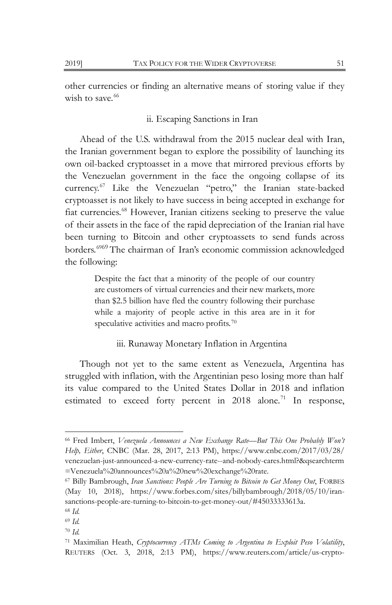other currencies or finding an alternative means of storing value if they wish to save. $66$ 

## ii. Escaping Sanctions in Iran

Ahead of the U.S. withdrawal from the 2015 nuclear deal with Iran, the Iranian government began to explore the possibility of launching its own oil-backed cryptoasset in a move that mirrored previous efforts by the Venezuelan government in the face the ongoing collapse of its currency.[67](#page-13-1) Like the Venezuelan "petro," the Iranian state-backed cryptoasset is not likely to have success in being accepted in exchange for fiat currencies.[68](#page-13-2) However, Iranian citizens seeking to preserve the value of their assets in the face of the rapid depreciation of the Iranian rial have been turning to Bitcoin and other cryptoassets to send funds across borders.<sup>[69](#page-13-3)69</sup> The chairman of Iran's economic commission acknowledged the following:

> Despite the fact that a minority of the people of our country are customers of virtual currencies and their new markets, more than \$2.5 billion have fled the country following their purchase while a majority of people active in this area are in it for speculative activities and macro profits.<sup>[70](#page-13-4)</sup>

## iii. Runaway Monetary Inflation in Argentina

Though not yet to the same extent as Venezuela, Argentina has struggled with inflation, with the Argentinian peso losing more than half its value compared to the United States Dollar in 2018 and inflation estimated to exceed forty percent in  $2018$  alone.<sup>[71](#page-13-5)</sup> In response,

<span id="page-13-4"></span><sup>70</sup> *Id.*

<span id="page-13-0"></span><sup>66</sup> Fred Imbert, *Venezuela Announces a New Exchange Rate—But This One Probably Won't Help, Either*, CNBC (Mar. 28, 2017, 2:13 PM), https://www.cnbc.com/2017/03/28/ venezuelan-just-announced-a-new-currency-rate--and-nobody-cares.html?&qsearchterm =Venezuela%20announces%20a%20new%20exchange%20rate.

<span id="page-13-1"></span><sup>67</sup> Billy Bambrough, *Iran Sanctions: People Are Turning to Bitcoin to Get Money Out*, FORBES (May 10, 2018), https://www.forbes.com/sites/billybambrough/2018/05/10/iransanctions-people-are-turning-to-bitcoin-to-get-money-out/#45033333613a.

<span id="page-13-2"></span><sup>68</sup> *Id.*

<span id="page-13-3"></span><sup>69</sup> *Id.*

<span id="page-13-5"></span><sup>71</sup> Maximilian Heath, *Cryptocurrency ATMs Coming to Argentina to Exploit Peso Volatility*, REUTERS (Oct. 3, 2018, 2:13 PM), https://www.reuters.com/article/us-crypto-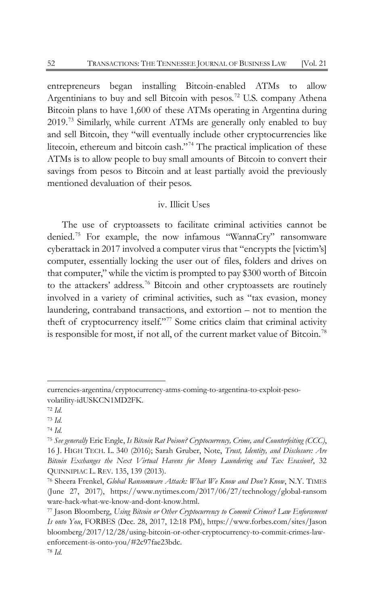entrepreneurs began installing Bitcoin-enabled ATMs to allow Argentinians to buy and sell Bitcoin with pesos.<sup>[72](#page-14-0)</sup> U.S. company Athena Bitcoin plans to have 1,600 of these ATMs operating in Argentina during 2019.[73](#page-14-1) Similarly, while current ATMs are generally only enabled to buy and sell Bitcoin, they "will eventually include other cryptocurrencies like litecoin, ethereum and bitcoin cash."[74](#page-14-2) The practical implication of these ATMs is to allow people to buy small amounts of Bitcoin to convert their savings from pesos to Bitcoin and at least partially avoid the previously mentioned devaluation of their pesos.

## iv. Illicit Uses

The use of cryptoassets to facilitate criminal activities cannot be denied.[75](#page-14-3) For example, the now infamous "WannaCry" ransomware cyberattack in 2017 involved a computer virus that "encrypts the [victim's] computer, essentially locking the user out of files, folders and drives on that computer," while the victim is prompted to pay \$300 worth of Bitcoin to the attackers' address.[76](#page-14-4) Bitcoin and other cryptoassets are routinely involved in a variety of criminal activities, such as "tax evasion, money laundering, contraband transactions, and extortion – not to mention the theft of cryptocurrency itself."<sup>[77](#page-14-5)</sup> Some critics claim that criminal activity is responsible for most, if not all, of the current market value of Bitcoin.<sup>[78](#page-14-6)</sup>

currencies-argentina/cryptocurrency-atms-coming-to-argentina-to-exploit-pesovolatility-idUSKCN1MD2FK.

<span id="page-14-0"></span><sup>72</sup> *Id.*

<span id="page-14-1"></span><sup>73</sup> *Id.*

<span id="page-14-2"></span><sup>74</sup> *Id.*

<span id="page-14-3"></span><sup>75</sup> *See generally* Eric Engle, *Is Bitcoin Rat Poison? Cryptocurrency, Crime, and Counterfeiting (CCC)*, 16 J. HIGH TECH. L. 340 (2016); Sarah Gruber, Note, *Trust, Identity, and Disclosure: Are Bitcoin Exchanges the Next Virtual Havens for Money Laundering and Tax Evasion?*, 32 QUINNIPIAC L. REV. 135, 139 (2013).

<span id="page-14-4"></span><sup>76</sup> Sheera Frenkel, *Global Ransomware Attack: What We Know and Don't Know*, N.Y. TIMES (June 27, 2017), https://www.nytimes.com/2017/06/27/technology/global-ransom ware-hack-what-we-know-and-dont-know.html.

<span id="page-14-6"></span><span id="page-14-5"></span><sup>77</sup> Jason Bloomberg, *Using Bitcoin or Other Cryptocurrency to Commit Crimes? Law Enforcement Is onto You*, FORBES (Dec. 28, 2017, 12:18 PM), https://www.forbes.com/sites/Jason bloomberg/2017/12/28/using-bitcoin-or-other-cryptocurrency-to-commit-crimes-lawenforcement-is-onto-you/#2c97fae23bdc. <sup>78</sup> *Id.*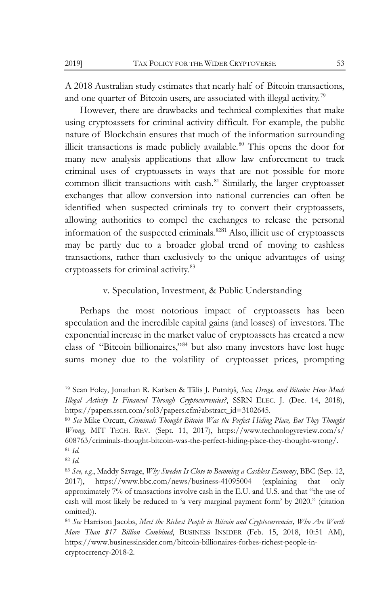A 2018 Australian study estimates that nearly half of Bitcoin transactions, and one quarter of Bitcoin users, are associated with illegal activity.<sup>[79](#page-15-0)</sup>

However, there are drawbacks and technical complexities that make using cryptoassets for criminal activity difficult. For example, the public nature of Blockchain ensures that much of the information surrounding illicit transactions is made publicly available.<sup>[80](#page-15-1)</sup> This opens the door for many new analysis applications that allow law enforcement to track criminal uses of cryptoassets in ways that are not possible for more common illicit transactions with cash.<sup>[81](#page-15-2)</sup> Similarly, the larger cryptoasset exchanges that allow conversion into national currencies can often be identified when suspected criminals try to convert their cryptoassets, allowing authorities to compel the exchanges to release the personal information of the suspected criminals.<sup>[82](#page-15-3)81</sup> Also, illicit use of cryptoassets may be partly due to a broader global trend of moving to cashless transactions, rather than exclusively to the unique advantages of using cryptoassets for criminal activity.[83](#page-15-4)

## v. Speculation, Investment, & Public Understanding

Perhaps the most notorious impact of cryptoassets has been speculation and the incredible capital gains (and losses) of investors. The exponential increase in the market value of cryptoassets has created a new class of "Bitcoin billionaires,"[84](#page-15-5) but also many investors have lost huge sums money due to the volatility of cryptoasset prices, prompting

<span id="page-15-0"></span><sup>79</sup> Sean Foley, Jonathan R. Karlsen & Tālis J. Putniņš, *Sex, Drugs, and Bitcoin: How Much Illegal Activity Is Financed Through Cryptocurrencies?*, SSRN ELEC. J. (Dec. 14, 2018), https://papers.ssrn.com/sol3/papers.cfm?abstract\_id=3102645.

<span id="page-15-1"></span><sup>80</sup> *See* Mike Orcutt, *Criminals Thought Bitcoin Was the Perfect Hiding Place, But They Thought Wrong*, MIT TECH. REV. (Sept. 11, 2017), https://www.technologyreview.com/s/ 608763/criminals-thought-bitcoin-was-the-perfect-hiding-place-they-thought-wrong/. <sup>81</sup> *Id.*

<span id="page-15-3"></span><span id="page-15-2"></span><sup>82</sup> *Id.*

<span id="page-15-4"></span><sup>83</sup> *See, e.g.*, Maddy Savage, *Why Sweden Is Close to Becoming a Cashless Economy*, BBC (Sep. 12, 2017), https://www.bbc.com/news/business-41095004 (explaining that only approximately 7% of transactions involve cash in the E.U. and U.S. and that "the use of cash will most likely be reduced to 'a very marginal payment form' by 2020." (citation omitted)).

<span id="page-15-5"></span><sup>84</sup> *See* Harrison Jacobs, *Meet the Richest People in Bitcoin and Cryptocurrencies, Who Are Worth More Than \$17 Billion Combined*, BUSINESS INSIDER (Feb. 15, 2018, 10:51 AM), https://www.businessinsider.com/bitcoin-billionaires-forbes-richest-people-incryptocrrency-2018-2.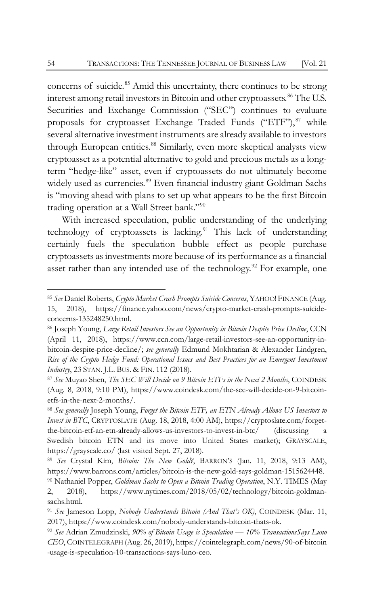concerns of suicide.<sup>[85](#page-16-0)</sup> Amid this uncertainty, there continues to be strong interest among retail investors in Bitcoin and other cryptoassets.<sup>[86](#page-16-1)</sup> The U.S. Securities and Exchange Commission ("SEC") continues to evaluate proposals for cryptoasset Exchange Traded Funds ("ETF"), $87$  while several alternative investment instruments are already available to investors through European entities.<sup>[88](#page-16-3)</sup> Similarly, even more skeptical analysts view cryptoasset as a potential alternative to gold and precious metals as a longterm "hedge-like" asset, even if cryptoassets do not ultimately become widely used as currencies.<sup>[89](#page-16-4)</sup> Even financial industry giant Goldman Sachs is "moving ahead with plans to set up what appears to be the first Bitcoin trading operation at a Wall Street bank."[90](#page-16-5)

With increased speculation, public understanding of the underlying technology of cryptoassets is lacking.<sup>[91](#page-16-6)</sup> This lack of understanding certainly fuels the speculation bubble effect as people purchase cryptoassets as investments more because of its performance as a financial asset rather than any intended use of the technology.<sup>[92](#page-16-7)</sup> For example, one

<span id="page-16-0"></span><sup>85</sup> *See* Daniel Roberts, *Crypto Market Crash Prompts Suicide Concerns*, YAHOO! FINANCE (Aug. 15, 2018), https://finance.yahoo.com/news/crypto-market-crash-prompts-suicideconcerns-135248250.html.

<span id="page-16-1"></span><sup>86</sup> Joseph Young, *Large Retail Investors See an Opportunity in Bitcoin Despite Price Decline*, CCN (April 11, 2018), https://www.ccn.com/large-retail-investors-see-an-opportunity-inbitcoin-despite-price-decline/; *see generally* Edmund Mokhtarian & Alexander Lindgren, *Rise of the Crypto Hedge Fund: Operational Issues and Best Practices for an Emergent Investment Industry*, 23 STAN. J.L. BUS. & FIN. 112 (2018).

<span id="page-16-2"></span><sup>87</sup> *See* Muyao Shen, *The SEC Will Decide on 9 Bitcoin ETFs in the Next 2 Months*, COINDESK (Aug. 8, 2018, 9:10 PM), https://www.coindesk.com/the-sec-will-decide-on-9-bitcoinetfs-in-the-next-2-months/.

<span id="page-16-3"></span><sup>88</sup> *See generally* Joseph Young, *Forget the Bitcoin ETF, an ETN Already Allows US Investors to Invest in BTC*, CRYPTOSLATE (Aug. 18, 2018, 4:00 AM), https://cryptoslate.com/forgetthe-bitcoin-etf-an-etn-already-allows-us-investors-to-invest-in-btc/ (discussing a Swedish bitcoin ETN and its move into United States market); GRAYSCALE, https://grayscale.co/ (last visited Sept. 27, 2018).

<span id="page-16-4"></span><sup>89</sup> *See* Crystal Kim, *Bitcoin: The New Gold?*, BARRON'S (Jan. 11, 2018, 9:13 AM), https://www.barrons.com/articles/bitcoin-is-the-new-gold-says-goldman-1515624448.

<span id="page-16-5"></span><sup>90</sup> Nathaniel Popper, *Goldman Sachs to Open a Bitcoin Trading Operation*, N.Y. TIMES (May 2, 2018), https://www.nytimes.com/2018/05/02/technology/bitcoin-goldmansachs.html.

<span id="page-16-6"></span><sup>91</sup> *See* Jameson Lopp, *Nobody Understands Bitcoin (And That's OK)*, COINDESK (Mar. 11, 2017), https://www.coindesk.com/nobody-understands-bitcoin-thats-ok.

<span id="page-16-7"></span><sup>92</sup> *See* Adrian Zmudzinski, *90% of Bitcoin Usage is Speculation — 10% TransactionsSays Luno CEO*, COINTELEGRAPH (Aug. 26, 2019), https://cointelegraph.com/news/90-of-bitcoin -usage-is-speculation-10-transactions-says-luno-ceo.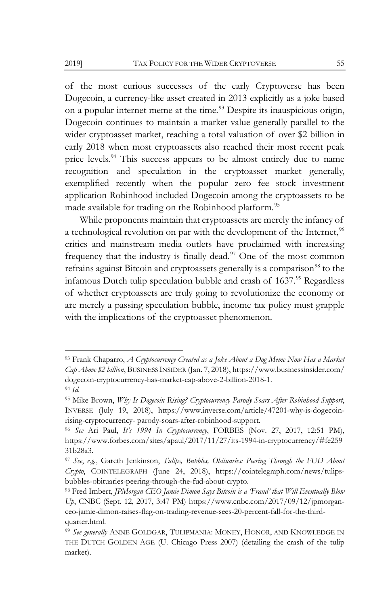of the most curious successes of the early Cryptoverse has been Dogecoin, a currency-like asset created in 2013 explicitly as a joke based on a popular internet meme at the time.<sup>[93](#page-17-0)</sup> Despite its inauspicious origin, Dogecoin continues to maintain a market value generally parallel to the wider cryptoasset market, reaching a total valuation of over \$2 billion in early 2018 when most cryptoassets also reached their most recent peak price levels.<sup>[94](#page-17-1)</sup> This success appears to be almost entirely due to name recognition and speculation in the cryptoasset market generally, exemplified recently when the popular zero fee stock investment application Robinhood included Dogecoin among the cryptoassets to be made available for trading on the Robinhood platform.<sup>[95](#page-17-2)</sup>

While proponents maintain that cryptoassets are merely the infancy of a technological revolution on par with the development of the Internet,<sup>[96](#page-17-3)</sup> critics and mainstream media outlets have proclaimed with increasing frequency that the industry is finally dead. $97$  One of the most common refrains against Bitcoin and cryptoassets generally is a comparison<sup>[98](#page-17-5)</sup> to the infamous Dutch tulip speculation bubble and crash of 1637.<sup>[99](#page-17-6)</sup> Regardless of whether cryptoassets are truly going to revolutionize the economy or are merely a passing speculation bubble, income tax policy must grapple with the implications of the cryptoasset phenomenon.

<span id="page-17-0"></span><sup>93</sup> Frank Chaparro, *A Cryptocurrency Created as a Joke About a Dog Meme Now Has a Market Cap Above \$2 billion*, BUSINESS INSIDER (Jan. 7, 2018), https://www.businessinsider.com/ dogecoin-cryptocurrency-has-market-cap-above-2-billion-2018-1. <sup>94</sup> *Id.*

<span id="page-17-2"></span><span id="page-17-1"></span><sup>95</sup> Mike Brown, *Why Is Dogecoin Rising? Cryptocurrency Parody Soars After Robinhood Support*, INVERSE (July 19, 2018), https://www.inverse.com/article/47201-why-is-dogecoinrising-cryptocurrency- parody-soars-after-robinhood-support.

<span id="page-17-3"></span><sup>96</sup> *See* Ari Paul, *It's 1994 In Cryptocurrency*, FORBES (Nov. 27, 2017, 12:51 PM), https://www.forbes.com/sites/apaul/2017/11/27/its-1994-in-cryptocurrency/#fe259 31b28a3.

<span id="page-17-4"></span><sup>97</sup> *See*, *e.g.*, Gareth Jenkinson, *Tulips, Bubbles, Obituaries: Peering Through the FUD About Crypto*, COINTELEGRAPH (June 24, 2018), https://cointelegraph.com/news/tulipsbubbles-obituaries-peering-through-the-fud-about-crypto.

<span id="page-17-5"></span><sup>98</sup> Fred Imbert, *JPMorgan CEO Jamie Dimon Says Bitcoin is a 'Fraud' that Will Eventually Blow Up*, CNBC (Sept. 12, 2017, 3:47 PM) https://www.cnbc.com/2017/09/12/jpmorganceo-jamie-dimon-raises-flag-on-trading-revenue-sees-20-percent-fall-for-the-thirdquarter.html.

<span id="page-17-6"></span><sup>99</sup> *See generally* ANNE GOLDGAR, TULIPMANIA: MONEY, HONOR, AND KNOWLEDGE IN THE DUTCH GOLDEN AGE (U. Chicago Press 2007) (detailing the crash of the tulip market).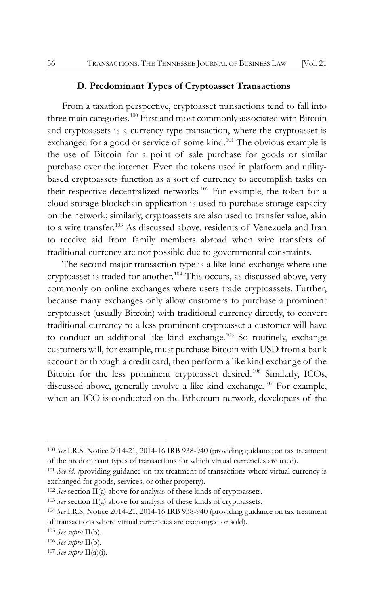#### **D. Predominant Types of Cryptoasset Transactions**

From a taxation perspective, cryptoasset transactions tend to fall into three main categories.<sup>[100](#page-18-0)</sup> First and most commonly associated with Bitcoin and cryptoassets is a currency-type transaction, where the cryptoasset is exchanged for a good or service of some kind.<sup>[101](#page-18-1)</sup> The obvious example is the use of Bitcoin for a point of sale purchase for goods or similar purchase over the internet. Even the tokens used in platform and utilitybased cryptoassets function as a sort of currency to accomplish tasks on their respective decentralized networks.<sup>[102](#page-18-2)</sup> For example, the token for a cloud storage blockchain application is used to purchase storage capacity on the network; similarly, cryptoassets are also used to transfer value, akin to a wire transfer.<sup>[103](#page-18-3)</sup> As discussed above, residents of Venezuela and Iran to receive aid from family members abroad when wire transfers of traditional currency are not possible due to governmental constraints.

The second major transaction type is a like-kind exchange where one cryptoasset is traded for another.[104](#page-18-4) This occurs, as discussed above, very commonly on online exchanges where users trade cryptoassets. Further, because many exchanges only allow customers to purchase a prominent cryptoasset (usually Bitcoin) with traditional currency directly, to convert traditional currency to a less prominent cryptoasset a customer will have to conduct an additional like kind exchange.<sup>[105](#page-18-5)</sup> So routinely, exchange customers will, for example, must purchase Bitcoin with USD from a bank account or through a credit card, then perform a like kind exchange of the Bitcoin for the less prominent cryptoasset desired.[106](#page-18-6) Similarly, ICOs, discussed above, generally involve a like kind exchange.<sup>[107](#page-18-7)</sup> For example, when an ICO is conducted on the Ethereum network, developers of the

<span id="page-18-0"></span><sup>100</sup> *See* I.R.S. Notice 2014-21, 2014-16 IRB 938-940 (providing guidance on tax treatment of the predominant types of transactions for which virtual currencies are used).

<span id="page-18-1"></span><sup>101</sup> *See id. (*providing guidance on tax treatment of transactions where virtual currency is exchanged for goods, services, or other property).

<span id="page-18-2"></span><sup>102</sup> *See* section II(a) above for analysis of these kinds of cryptoassets.

<span id="page-18-3"></span><sup>103</sup> *See* section II(a) above for analysis of these kinds of cryptoassets.

<span id="page-18-4"></span><sup>104</sup> *See* I.R.S. Notice 2014-21, 2014-16 IRB 938-940 (providing guidance on tax treatment of transactions where virtual currencies are exchanged or sold).

<span id="page-18-5"></span><sup>105</sup> *See supra* II(b).

<span id="page-18-6"></span><sup>106</sup> *See supra* II(b).

<span id="page-18-7"></span><sup>107</sup> *See supra* II(a)(i).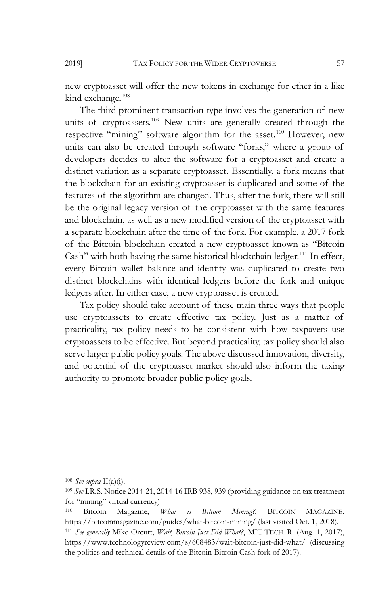new cryptoasset will offer the new tokens in exchange for ether in a like kind exchange.<sup>[108](#page-19-0)</sup>

The third prominent transaction type involves the generation of new units of cryptoassets.<sup>[109](#page-19-1)</sup> New units are generally created through the respective "mining" software algorithm for the asset.<sup>[110](#page-19-2)</sup> However, new units can also be created through software "forks," where a group of developers decides to alter the software for a cryptoasset and create a distinct variation as a separate cryptoasset. Essentially, a fork means that the blockchain for an existing cryptoasset is duplicated and some of the features of the algorithm are changed. Thus, after the fork, there will still be the original legacy version of the cryptoasset with the same features and blockchain, as well as a new modified version of the cryptoasset with a separate blockchain after the time of the fork. For example, a 2017 fork of the Bitcoin blockchain created a new cryptoasset known as "Bitcoin Cash" with both having the same historical blockchain ledger.<sup>[111](#page-19-3)</sup> In effect, every Bitcoin wallet balance and identity was duplicated to create two distinct blockchains with identical ledgers before the fork and unique ledgers after. In either case, a new cryptoasset is created.

Tax policy should take account of these main three ways that people use cryptoassets to create effective tax policy. Just as a matter of practicality, tax policy needs to be consistent with how taxpayers use cryptoassets to be effective. But beyond practicality, tax policy should also serve larger public policy goals. The above discussed innovation, diversity, and potential of the cryptoasset market should also inform the taxing authority to promote broader public policy goals.

<span id="page-19-0"></span><sup>108</sup> *See supra* II(a)(i).

<span id="page-19-1"></span><sup>109</sup> *See* I.R.S. Notice 2014-21, 2014-16 IRB 938, 939 (providing guidance on tax treatment for "mining" virtual currency)

<span id="page-19-2"></span><sup>110</sup> Bitcoin Magazine, *What is Bitcoin Mining?*, BITCOIN MAGAZINE, https://bitcoinmagazine.com/guides/what-bitcoin-mining/ (last visited Oct. 1, 2018).

<span id="page-19-3"></span><sup>111</sup> *See generally* Mike Orcutt, *Wait, Bitcoin Just Did What?*, MIT TECH. R. (Aug. 1, 2017), https://www.technologyreview.com/s/608483/wait-bitcoin-just-did-what/ (discussing the politics and technical details of the Bitcoin-Bitcoin Cash fork of 2017).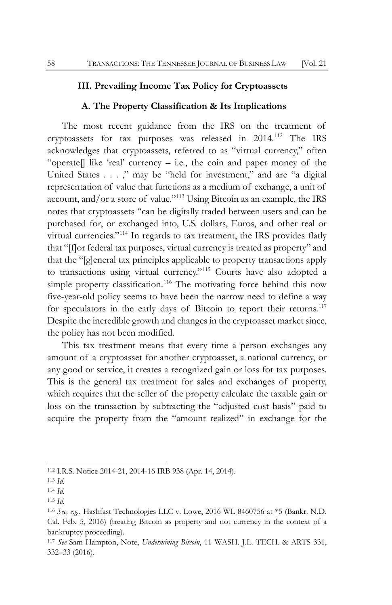## **III. Prevailing Income Tax Policy for Cryptoassets**

#### **A. The Property Classification & Its Implications**

The most recent guidance from the IRS on the treatment of cryptoassets for tax purposes was released in 2014.[112](#page-20-0) The IRS acknowledges that cryptoassets, referred to as "virtual currency," often "operate. like 'real' currency – i.e., the coin and paper money of the United States . . . ," may be "held for investment," and are "a digital representation of value that functions as a medium of exchange, a unit of account, and/or a store of value."[113](#page-20-1) Using Bitcoin as an example, the IRS notes that cryptoassets "can be digitally traded between users and can be purchased for, or exchanged into, U.S. dollars, Euros, and other real or virtual currencies."[114](#page-20-2) In regards to tax treatment, the IRS provides flatly that "[f]or federal tax purposes, virtual currency is treated as property" and that the "[g]eneral tax principles applicable to property transactions apply to transactions using virtual currency."[115](#page-20-3) Courts have also adopted a simple property classification.<sup>[116](#page-20-4)</sup> The motivating force behind this now five-year-old policy seems to have been the narrow need to define a way for speculators in the early days of Bitcoin to report their returns.<sup>[117](#page-20-5)</sup> Despite the incredible growth and changes in the cryptoasset market since, the policy has not been modified.

This tax treatment means that every time a person exchanges any amount of a cryptoasset for another cryptoasset, a national currency, or any good or service, it creates a recognized gain or loss for tax purposes. This is the general tax treatment for sales and exchanges of property, which requires that the seller of the property calculate the taxable gain or loss on the transaction by subtracting the "adjusted cost basis" paid to acquire the property from the "amount realized" in exchange for the

<span id="page-20-0"></span><sup>112</sup> I.R.S. Notice 2014-21, 2014-16 IRB 938 (Apr. 14, 2014).

<span id="page-20-1"></span><sup>113</sup> *Id.*

<span id="page-20-2"></span><sup>114</sup> *Id.*

<span id="page-20-3"></span><sup>115</sup> *Id.*

<span id="page-20-4"></span><sup>116</sup> *See, e.g.*, Hashfast Technologies LLC v. Lowe, 2016 WL 8460756 at \*5 (Bankr. N.D. Cal. Feb. 5, 2016) (treating Bitcoin as property and not currency in the context of a bankruptcy proceeding).

<span id="page-20-5"></span><sup>117</sup> *See* Sam Hampton, Note, *Undermining Bitcoin*, 11 WASH. J.L. TECH. & ARTS 331, 332–33 (2016).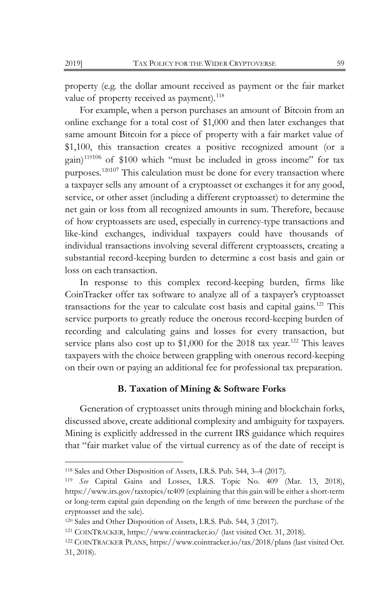property (e.g. the dollar amount received as payment or the fair market value of property received as payment).<sup>[118](#page-21-0)</sup>

For example, when a person purchases an amount of Bitcoin from an online exchange for a total cost of \$1,000 and then later exchanges that same amount Bitcoin for a piece of property with a fair market value of \$1,100, this transaction creates a positive recognized amount (or a gain)<sup>[119](#page-21-1)106</sup> of \$100 which "must be included in gross income" for tax purposes.[1201](#page-21-2)07 This calculation must be done for every transaction where a taxpayer sells any amount of a cryptoasset or exchanges it for any good, service, or other asset (including a different cryptoasset) to determine the net gain or loss from all recognized amounts in sum. Therefore, because of how cryptoassets are used, especially in currency-type transactions and like-kind exchanges, individual taxpayers could have thousands of individual transactions involving several different cryptoassets, creating a substantial record-keeping burden to determine a cost basis and gain or loss on each transaction.

In response to this complex record-keeping burden, firms like CoinTracker offer tax software to analyze all of a taxpayer's cryptoasset transactions for the year to calculate cost basis and capital gains.<sup>[121](#page-21-3)</sup> This service purports to greatly reduce the onerous record-keeping burden of recording and calculating gains and losses for every transaction, but service plans also cost up to \$1,000 for the 2018 tax year.<sup>[122](#page-21-4)</sup> This leaves taxpayers with the choice between grappling with onerous record-keeping on their own or paying an additional fee for professional tax preparation.

## **B. Taxation of Mining & Software Forks**

Generation of cryptoasset units through mining and blockchain forks, discussed above, create additional complexity and ambiguity for taxpayers. Mining is explicitly addressed in the current IRS guidance which requires that "fair market value of the virtual currency as of the date of receipt is

<span id="page-21-0"></span><sup>118</sup> Sales and Other Disposition of Assets, I.R.S. Pub. 544, 3–4 (2017).

<span id="page-21-1"></span><sup>119</sup> *See* Capital Gains and Losses, I.R.S. Topic No. 409 (Mar. 13, 2018), https://www.irs.gov/taxtopics/tc409 (explaining that this gain will be either a short-term or long-term capital gain depending on the length of time between the purchase of the cryptoasset and the sale).

<span id="page-21-2"></span><sup>120</sup> Sales and Other Disposition of Assets, I.R.S. Pub. 544, 3 (2017).

<span id="page-21-3"></span><sup>121</sup> COINTRACKER, https://www.cointracker.io/ (last visited Oct. 31, 2018).

<span id="page-21-4"></span><sup>122</sup> COINTRACKER PLANS, https://www.cointracker.io/tax/2018/plans (last visited Oct. 31, 2018).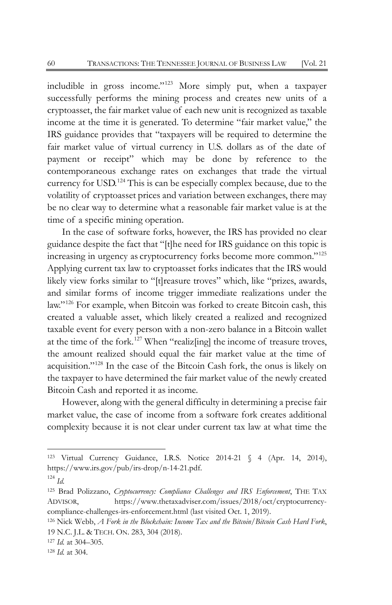includible in gross income."[123](#page-22-0) More simply put, when a taxpayer successfully performs the mining process and creates new units of a cryptoasset, the fair market value of each new unit is recognized as taxable income at the time it is generated. To determine "fair market value," the IRS guidance provides that "taxpayers will be required to determine the fair market value of virtual currency in U.S. dollars as of the date of payment or receipt" which may be done by reference to the contemporaneous exchange rates on exchanges that trade the virtual currency for USD.[124](#page-22-1) This is can be especially complex because, due to the volatility of cryptoasset prices and variation between exchanges, there may be no clear way to determine what a reasonable fair market value is at the time of a specific mining operation.

In the case of software forks, however, the IRS has provided no clear guidance despite the fact that "[t]he need for IRS guidance on this topic is increasing in urgency as cryptocurrency forks become more common."[125](#page-22-2) Applying current tax law to cryptoasset forks indicates that the IRS would likely view forks similar to "[t]reasure troves" which, like "prizes, awards, and similar forms of income trigger immediate realizations under the law."[126](#page-22-3) For example, when Bitcoin was forked to create Bitcoin cash, this created a valuable asset, which likely created a realized and recognized taxable event for every person with a non-zero balance in a Bitcoin wallet at the time of the fork.[127](#page-22-4) When "realiz[ing] the income of treasure troves, the amount realized should equal the fair market value at the time of acquisition."[128](#page-22-5) In the case of the Bitcoin Cash fork, the onus is likely on the taxpayer to have determined the fair market value of the newly created Bitcoin Cash and reported it as income.

However, along with the general difficulty in determining a precise fair market value, the case of income from a software fork creates additional complexity because it is not clear under current tax law at what time the

<span id="page-22-0"></span><sup>123</sup> Virtual Currency Guidance, I.R.S. Notice 2014-21 § 4 (Apr. 14, 2014), https://www.irs.gov/pub/irs-drop/n-14-21.pdf.

<span id="page-22-1"></span><sup>124</sup> *Id.*

<span id="page-22-2"></span><sup>125</sup> Brad Polizzano, *Cryptocurrency: Compliance Challenges and IRS Enforcement*, THE TAX ADVISOR, https://www.thetaxadviser.com/issues/2018/oct/cryptocurrencycompliance-challenges-irs-enforcement.html (last visited Oct. 1, 2019).

<span id="page-22-3"></span><sup>126</sup> Nick Webb, *A Fork in the Blockchain: Income Tax and the Bitcoin/Bitcoin Cash Hard Fork*, 19 N.C. J.L. & TECH. ON. 283, 304 (2018).

<span id="page-22-4"></span><sup>127</sup> *Id.* at 304–305.

<span id="page-22-5"></span><sup>128</sup> *Id.* at 304.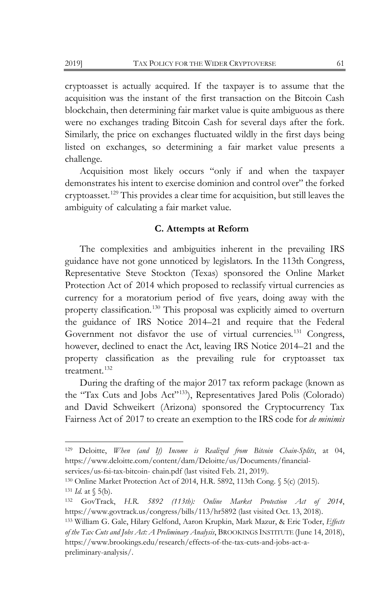cryptoasset is actually acquired. If the taxpayer is to assume that the acquisition was the instant of the first transaction on the Bitcoin Cash blockchain, then determining fair market value is quite ambiguous as there were no exchanges trading Bitcoin Cash for several days after the fork. Similarly, the price on exchanges fluctuated wildly in the first days being listed on exchanges, so determining a fair market value presents a challenge.

Acquisition most likely occurs "only if and when the taxpayer demonstrates his intent to exercise dominion and control over" the forked cryptoasset.[129](#page-23-0) This provides a clear time for acquisition, but still leaves the ambiguity of calculating a fair market value.

#### **C. Attempts at Reform**

The complexities and ambiguities inherent in the prevailing IRS guidance have not gone unnoticed by legislators. In the 113th Congress, Representative Steve Stockton (Texas) sponsored the Online Market Protection Act of 2014 which proposed to reclassify virtual currencies as currency for a moratorium period of five years, doing away with the property classification.<sup>[130](#page-23-1)</sup> This proposal was explicitly aimed to overturn the guidance of IRS Notice 2014–21 and require that the Federal Government not disfavor the use of virtual currencies.<sup>[131](#page-23-2)</sup> Congress, however, declined to enact the Act, leaving IRS Notice 2014–21 and the property classification as the prevailing rule for cryptoasset tax treatment.<sup>[132](#page-23-3)</sup>

During the drafting of the major 2017 tax reform package (known as the "Tax Cuts and Jobs Act"[133](#page-23-4)), Representatives Jared Polis (Colorado) and David Schweikert (Arizona) sponsored the Cryptocurrency Tax Fairness Act of 2017 to create an exemption to the IRS code for *de minimis* 

<span id="page-23-0"></span><sup>129</sup> Deloitte, *When (and If) Income is Realized from Bitcoin Chain-Splits*, at 04, https://www.deloitte.com/content/dam/Deloitte/us/Documents/financial-

services/us-fsi-tax-bitcoin- chain.pdf (last visited Feb. 21, 2019).

<span id="page-23-2"></span><span id="page-23-1"></span><sup>130</sup> Online Market Protection Act of 2014, H.R. 5892, 113th Cong. § 5(c) (2015). <sup>131</sup> *Id.* at § 5(b).

<span id="page-23-3"></span><sup>132</sup> GovTrack, *H.R. 5892 (113th): Online Market Protection Act of 2014*, https[://www.govtrack.us/congress/bills/113/hr5892 \(](http://www.govtrack.us/congress/bills/113/hr5892)last visited Oct. 13, 2018).

<span id="page-23-4"></span><sup>133</sup> William G. Gale, Hilary Gelfond, Aaron Krupkin, Mark Mazur, & Eric Toder, *Effects of the Tax Cuts and Jobs Act: A Preliminary Analysis*, BROOKINGS INSTITUTE (June 14, 2018), https[://www.brookings.edu/research/effects-of-the-tax-cuts-and-jobs-act-a](http://www.brookings.edu/research/effects-of-the-tax-cuts-and-jobs-act-a-preliminary-analysis/)[preliminary-analysis/.](http://www.brookings.edu/research/effects-of-the-tax-cuts-and-jobs-act-a-preliminary-analysis/)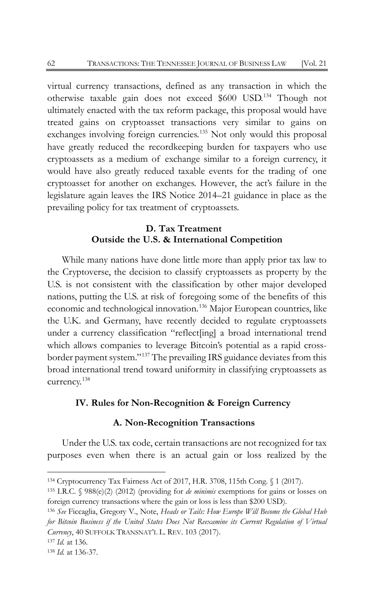virtual currency transactions, defined as any transaction in which the otherwise taxable gain does not exceed \$600 USD.[134](#page-24-0) Though not ultimately enacted with the tax reform package, this proposal would have treated gains on cryptoasset transactions very similar to gains on exchanges involving foreign currencies.<sup>[135](#page-24-1)</sup> Not only would this proposal have greatly reduced the recordkeeping burden for taxpayers who use cryptoassets as a medium of exchange similar to a foreign currency, it would have also greatly reduced taxable events for the trading of one cryptoasset for another on exchanges. However, the act's failure in the legislature again leaves the IRS Notice 2014–21 guidance in place as the prevailing policy for tax treatment of cryptoassets.

## <span id="page-24-5"></span>**D. Tax Treatment Outside the U.S. & International Competition**

While many nations have done little more than apply prior tax law to the Cryptoverse, the decision to classify cryptoassets as property by the U.S. is not consistent with the classification by other major developed nations, putting the U.S. at risk of foregoing some of the benefits of this economic and technological innovation.<sup>[136](#page-24-2)</sup> Major European countries, like the U.K. and Germany, have recently decided to regulate cryptoassets under a currency classification "reflect[ing] a broad international trend which allows companies to leverage Bitcoin's potential as a rapid crossborder payment system."[137](#page-24-3) The prevailing IRS guidance deviates from this broad international trend toward uniformity in classifying cryptoassets as currency.[138](#page-24-4)

## **IV. Rules for Non-Recognition & Foreign Currency**

## **A. Non-Recognition Transactions**

Under the U.S. tax code, certain transactions are not recognized for tax purposes even when there is an actual gain or loss realized by the

<span id="page-24-0"></span><sup>134</sup> Cryptocurrency Tax Fairness Act of 2017, H.R. 3708, 115th Cong. § 1 (2017).

<span id="page-24-1"></span><sup>135</sup> I.R.C. § 988(e)(2) (2012) (providing for *de minimis* exemptions for gains or losses on foreign currency transactions where the gain or loss is less than \$200 USD).

<span id="page-24-2"></span><sup>136</sup> *See* Ficcaglia, Gregory V., Note, *Heads or Tails: How Europe Will Become the Global Hub for Bitcoin Business if the United States Does Not Reexamine its Current Regulation of Virtual Currency*, 40 SUFFOLK TRANSNAT'L L. REV. 103 (2017).

<span id="page-24-3"></span><sup>137</sup> *Id.* at 136.

<span id="page-24-4"></span><sup>138</sup> *Id.* at 136-37.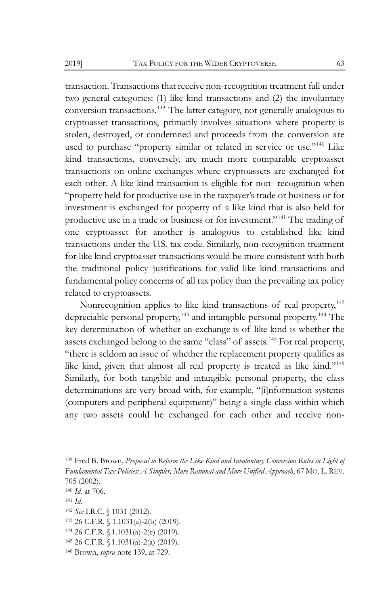<span id="page-25-0"></span>transaction. Transactions that receive non-recognition treatment fall under two general categories: (1) like kind transactions and (2) the involuntary conversion transactions.<sup>[139](#page-25-1)</sup> The latter category, not generally analogous to cryptoasset transactions, primarily involves situations where property is stolen, destroyed, or condemned and proceeds from the conversion are used to purchase "property similar or related in service or use."[140](#page-25-2) Like kind transactions, conversely, are much more comparable cryptoasset transactions on online exchanges where cryptoassets are exchanged for each other. A like kind transaction is eligible for non- recognition when "property held for productive use in the taxpayer's trade or business or for investment is exchanged for property of a like kind that is also held for productive use in a trade or business or for investment."[141](#page-25-3) The trading of one cryptoasset for another is analogous to established like kind transactions under the U.S. tax code. Similarly, non-recognition treatment for like kind cryptoasset transactions would be more consistent with both the traditional policy justifications for valid like kind transactions and fundamental policy concerns of all tax policy than the prevailing tax policy related to cryptoassets.

Nonrecognition applies to like kind transactions of real property,<sup>[142](#page-25-4)</sup> depreciable personal property,<sup>[143](#page-25-5)</sup> and intangible personal property.<sup>[144](#page-25-6)</sup> The key determination of whether an exchange is of like kind is whether the assets exchanged belong to the same "class" of assets.<sup>[145](#page-25-7)</sup> For real property, "there is seldom an issue of whether the replacement property qualifies as like kind, given that almost all real property is treated as like kind."<sup>[146](#page-25-8)</sup> Similarly, for both tangible and intangible personal property, the class determinations are very broad with, for example, "[i]nformation systems (computers and peripheral equipment)" being a single class within which any two assets could be exchanged for each other and receive non-

<span id="page-25-1"></span><sup>139</sup> Fred B. Brown, *Proposal to Reform the Like Kind and Involuntary Conversion Rules in Light of Fundamental Tax Policies: A Simpler, More Rational and More Unified Approach*, 67 MO. L. REV. 705 (2002).

<span id="page-25-2"></span><sup>140</sup> *Id.* at 706.

<span id="page-25-3"></span><sup>141</sup> *Id.*

<span id="page-25-4"></span><sup>142</sup> *See* I.R.C. § 1031 (2012).

<span id="page-25-5"></span><sup>143</sup> 26 C.F.R. § 1.1031(a)-2(b) (2019).

<span id="page-25-6"></span><sup>144</sup> 26 C.F.R. § 1.1031(a)-2(c) (2019).

<span id="page-25-7"></span><sup>145</sup> 26 C.F.R. § 1.1031(a)-2(a) (2019).

<span id="page-25-8"></span><sup>146</sup> Brown, *supra* not[e 139,](#page-25-0) at 729.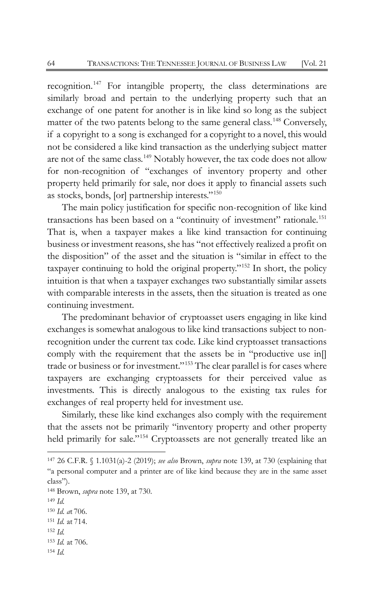recognition.<sup>[147](#page-26-0)</sup> For intangible property, the class determinations are similarly broad and pertain to the underlying property such that an exchange of one patent for another is in like kind so long as the subject matter of the two patents belong to the same general class.<sup>[148](#page-26-1)</sup> Conversely, if a copyright to a song is exchanged for a copyright to a novel, this would not be considered a like kind transaction as the underlying subject matter are not of the same class.<sup>[149](#page-26-2)</sup> Notably however, the tax code does not allow for non-recognition of "exchanges of inventory property and other property held primarily for sale, nor does it apply to financial assets such as stocks, bonds, [or] partnership interests."[150](#page-26-3)

The main policy justification for specific non-recognition of like kind transactions has been based on a "continuity of investment" rationale.<sup>[151](#page-26-4)</sup> That is, when a taxpayer makes a like kind transaction for continuing business or investment reasons, she has "not effectively realized a profit on the disposition" of the asset and the situation is "similar in effect to the taxpayer continuing to hold the original property."[152](#page-26-5) In short, the policy intuition is that when a taxpayer exchanges two substantially similar assets with comparable interests in the assets, then the situation is treated as one continuing investment.

The predominant behavior of cryptoasset users engaging in like kind exchanges is somewhat analogous to like kind transactions subject to nonrecognition under the current tax code. Like kind cryptoasset transactions comply with the requirement that the assets be in "productive use in[] trade or business or for investment."[153](#page-26-6) The clear parallel is for cases where taxpayers are exchanging cryptoassets for their perceived value as investments. This is directly analogous to the existing tax rules for exchanges of real property held for investment use.

Similarly, these like kind exchanges also comply with the requirement that the assets not be primarily "inventory property and other property held primarily for sale."<sup>[154](#page-26-7)</sup> Cryptoassets are not generally treated like an

- <span id="page-26-5"></span><sup>152</sup> *Id.*
- <span id="page-26-6"></span><sup>153</sup> *Id.* at 706.
- <span id="page-26-7"></span><sup>154</sup> *Id.*

<span id="page-26-0"></span><sup>147</sup> 26 C.F.R. § 1.1031(a)-2 (2019); *see also* Brown, *supra* note [139,](#page-25-0) at 730 (explaining that "a personal computer and a printer are of like kind because they are in the same asset class").

<span id="page-26-1"></span><sup>148</sup> Brown, *supra* note [139,](#page-25-0) at 730.

<span id="page-26-2"></span><sup>149</sup> *Id.*

<span id="page-26-3"></span><sup>150</sup> *Id. a*t 706.

<span id="page-26-4"></span><sup>151</sup> *Id.* at 714.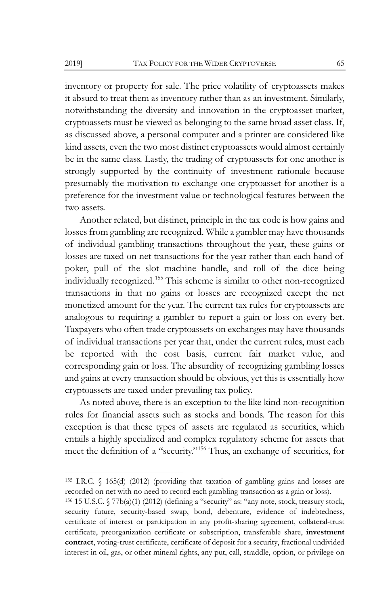inventory or property for sale. The price volatility of cryptoassets makes it absurd to treat them as inventory rather than as an investment. Similarly, notwithstanding the diversity and innovation in the cryptoasset market, cryptoassets must be viewed as belonging to the same broad asset class. If, as discussed above, a personal computer and a printer are considered like kind assets, even the two most distinct cryptoassets would almost certainly be in the same class. Lastly, the trading of cryptoassets for one another is strongly supported by the continuity of investment rationale because presumably the motivation to exchange one cryptoasset for another is a preference for the investment value or technological features between the two assets.

Another related, but distinct, principle in the tax code is how gains and losses from gambling are recognized. While a gambler may have thousands of individual gambling transactions throughout the year, these gains or losses are taxed on net transactions for the year rather than each hand of poker, pull of the slot machine handle, and roll of the dice being individually recognized.[155](#page-27-0) This scheme is similar to other non-recognized transactions in that no gains or losses are recognized except the net monetized amount for the year. The current tax rules for cryptoassets are analogous to requiring a gambler to report a gain or loss on every bet. Taxpayers who often trade cryptoassets on exchanges may have thousands of individual transactions per year that, under the current rules, must each be reported with the cost basis, current fair market value, and corresponding gain or loss. The absurdity of recognizing gambling losses and gains at every transaction should be obvious, yet this is essentially how cryptoassets are taxed under prevailing tax policy.

As noted above, there is an exception to the like kind non-recognition rules for financial assets such as stocks and bonds. The reason for this exception is that these types of assets are regulated as securities, which entails a highly specialized and complex regulatory scheme for assets that meet the definition of a "security."[156](#page-27-1) Thus, an exchange of securities, for

<span id="page-27-0"></span><sup>155</sup> I.R.C. § 165(d) (2012) (providing that taxation of gambling gains and losses are recorded on net with no need to record each gambling transaction as a gain or loss).

<span id="page-27-1"></span><sup>156</sup> 15 U.S.C. § 77b(a)(1) (2012) (defining a "security" as: "any note, stock, treasury stock, security future, security-based swap, bond, debenture, evidence of indebtedness, certificate of interest or participation in any profit-sharing agreement, collateral-trust certificate, preorganization certificate or subscription, transferable share, **investment contract**, voting-trust certificate, certificate of deposit for a security, fractional undivided interest in oil, gas, or other mineral rights, any put, call, straddle, option, or privilege on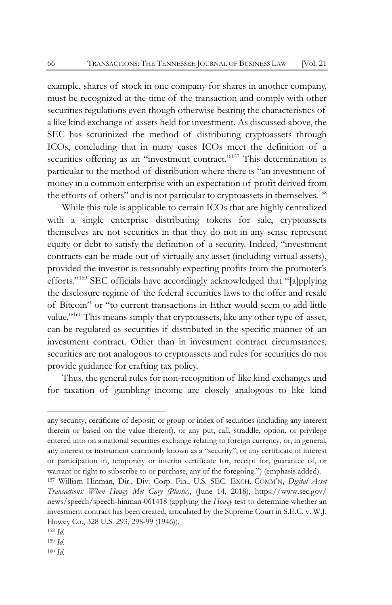example, shares of stock in one company for shares in another company, must be recognized at the time of the transaction and comply with other securities regulations even though otherwise bearing the characteristics of a like kind exchange of assets held for investment. As discussed above, the SEC has scrutinized the method of distributing cryptoassets through ICOs, concluding that in many cases ICOs meet the definition of a securities offering as an "investment contract."<sup>[157](#page-28-0)</sup> This determination is particular to the method of distribution where there is "an investment of money in a common enterprise with an expectation of profit derived from the efforts of others" and is not particular to cryptoassets in themselves.<sup>[158](#page-28-1)</sup>

While this rule is applicable to certain ICOs that are highly centralized with a single enterprise distributing tokens for sale, cryptoassets themselves are not securities in that they do not in any sense represent equity or debt to satisfy the definition of a security. Indeed, "investment contracts can be made out of virtually any asset (including virtual assets), provided the investor is reasonably expecting profits from the promoter's efforts."[159](#page-28-2) SEC officials have accordingly acknowledged that "[a]pplying the disclosure regime of the federal securities laws to the offer and resale of Bitcoin" or "to current transactions in Ether would seem to add little value."<sup>[160](#page-28-3)</sup> This means simply that cryptoassets, like any other type of asset, can be regulated as securities if distributed in the specific manner of an investment contract. Other than in investment contract circumstances, securities are not analogous to cryptoassets and rules for securities do not provide guidance for crafting tax policy.

Thus, the general rules for non-recognition of like kind exchanges and for taxation of gambling income are closely analogous to like kind

any security, certificate of deposit, or group or index of securities (including any interest therein or based on the value thereof), or any put, call, straddle, option, or privilege entered into on a national securities exchange relating to foreign currency, or, in general, any interest or instrument commonly known as a "security", or any certificate of interest or participation in, temporary or interim certificate for, receipt for, guarantee of, or warrant or right to subscribe to or purchase, any of the foregoing.") (emphasis added).

<span id="page-28-0"></span><sup>157</sup> William Hinman, Dir., Div. Corp. Fin., U.S. SEC. EXCH. COMM'N, *Digital Asset Transactions: When Howey Met Gary (Plastic)*, (June 14, 2018), http[s://www.sec.gov/](http://www.sec.gov/news/speech/speech-hinman-061418) [news/speech/speech-hinman-061418](http://www.sec.gov/news/speech/speech-hinman-061418) (applying the *Howey* test to determine whether an investment contract has been created, articulated by the Supreme Court in S.E.C. v. W.J. Howey Co., 328 U.S. 293, 298-99 (1946)).

<span id="page-28-1"></span><sup>158</sup> *Id.*

<span id="page-28-3"></span><span id="page-28-2"></span><sup>159</sup> *Id.* <sup>160</sup> *Id.*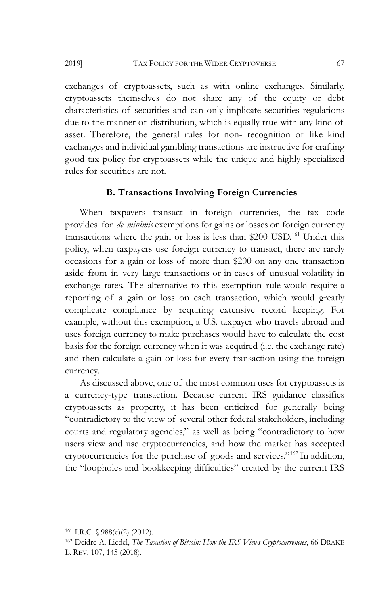exchanges of cryptoassets, such as with online exchanges. Similarly, cryptoassets themselves do not share any of the equity or debt characteristics of securities and can only implicate securities regulations due to the manner of distribution, which is equally true with any kind of asset. Therefore, the general rules for non- recognition of like kind exchanges and individual gambling transactions are instructive for crafting good tax policy for cryptoassets while the unique and highly specialized rules for securities are not.

## **B. Transactions Involving Foreign Currencies**

When taxpayers transact in foreign currencies, the tax code provides for *de minimis* exemptions for gains or losses on foreign currency transactions where the gain or loss is less than  $$200$  USD.<sup>[161](#page-29-0)</sup> Under this policy, when taxpayers use foreign currency to transact, there are rarely occasions for a gain or loss of more than \$200 on any one transaction aside from in very large transactions or in cases of unusual volatility in exchange rates. The alternative to this exemption rule would require a reporting of a gain or loss on each transaction, which would greatly complicate compliance by requiring extensive record keeping. For example, without this exemption, a U.S. taxpayer who travels abroad and uses foreign currency to make purchases would have to calculate the cost basis for the foreign currency when it was acquired (i.e. the exchange rate) and then calculate a gain or loss for every transaction using the foreign currency.

As discussed above, one of the most common uses for cryptoassets is a currency-type transaction. Because current IRS guidance classifies cryptoassets as property, it has been criticized for generally being "contradictory to the view of several other federal stakeholders, including courts and regulatory agencies," as well as being "contradictory to how users view and use cryptocurrencies, and how the market has accepted cryptocurrencies for the purchase of goods and services."[162](#page-29-1) In addition, the "loopholes and bookkeeping difficulties" created by the current IRS

<span id="page-29-0"></span><sup>161</sup> I.R.C. § 988(e)(2) (2012).

<span id="page-29-1"></span><sup>162</sup> Deidre A. Liedel, *The Taxation of Bitcoin: How the IRS Views Cryptocurrencies*, 66 DRAKE L. REV. 107, 145 (2018).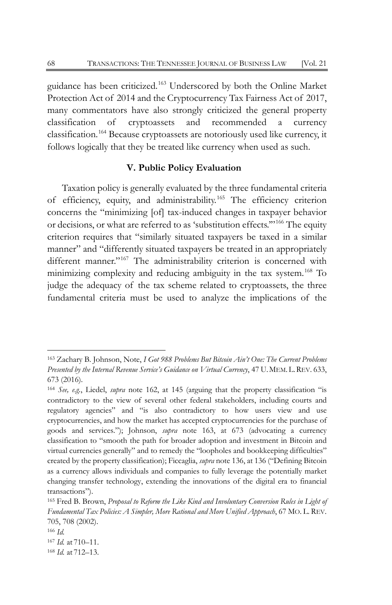guidance has been criticized.[163](#page-30-0) Underscored by both the Online Market Protection Act of 2014 and the Cryptocurrency Tax Fairness Act of 2017, many commentators have also strongly criticized the general property classification of cryptoassets and recommended a currency classification.[164](#page-30-1) Because cryptoassets are notoriously used like currency, it follows logically that they be treated like currency when used as such.

#### **V. Public Policy Evaluation**

Taxation policy is generally evaluated by the three fundamental criteria of efficiency, equity, and administrability.[165](#page-30-2) The efficiency criterion concerns the "minimizing [of] tax-induced changes in taxpayer behavior or decisions, or what are referred to as 'substitution effects.'"[166](#page-30-3) The equity criterion requires that "similarly situated taxpayers be taxed in a similar manner" and "differently situated taxpayers be treated in an appropriately different manner."<sup>[167](#page-30-4)</sup> The administrability criterion is concerned with minimizing complexity and reducing ambiguity in the tax system.<sup>[168](#page-30-5)</sup> To judge the adequacy of the tax scheme related to cryptoassets, the three fundamental criteria must be used to analyze the implications of the

<span id="page-30-0"></span><sup>163</sup> Zachary B. Johnson, Note, *I Got 988 Problems But Bitcoin Ain't One: The Current Problems Presented by the Internal Revenue Service's Guidance on Virtual Currency*, 47 U.MEM.L.REV. 633, 673 (2016).

<span id="page-30-1"></span><sup>164</sup> *See, e.g.*, Liedel, *supra* note 162, at 145 (arguing that the property classification "is contradictory to the view of several other federal stakeholders, including courts and regulatory agencies" and "is also contradictory to how users view and use cryptocurrencies, and how the market has accepted cryptocurrencies for the purchase of goods and services."); Johnson, *supra* note 163, at 673 (advocating a currency classification to "smooth the path for broader adoption and investment in Bitcoin and virtual currencies generally" and to remedy the "loopholes and bookkeeping difficulties" created by the property classification); Ficcaglia, *supra* note 136, at 136 ("Defining Bitcoin as a currency allows individuals and companies to fully leverage the potentially market changing transfer technology, extending the innovations of the digital era to financial transactions").

<span id="page-30-2"></span><sup>165</sup> Fred B. Brown, *Proposal to Reform the Like Kind and Involuntary Conversion Rules in Light of Fundamental Tax Policies: A Simpler, More Rational and More Unified Approach*, 67 MO. L. REV. 705, 708 (2002).

<span id="page-30-3"></span><sup>166</sup> *Id.*

<span id="page-30-4"></span><sup>167</sup> *Id.* at 710–11.

<span id="page-30-5"></span><sup>168</sup> *Id.* at 712–13.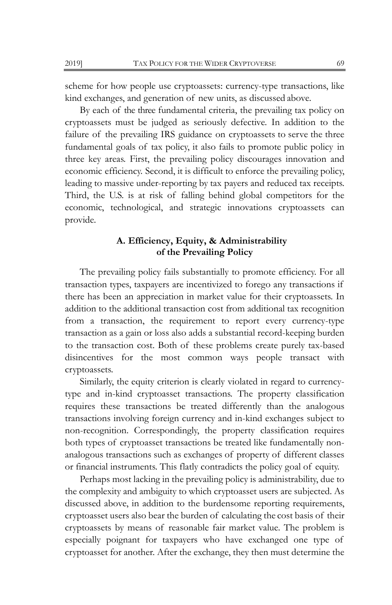scheme for how people use cryptoassets: currency-type transactions, like kind exchanges, and generation of new units, as discussed above.

By each of the three fundamental criteria, the prevailing tax policy on cryptoassets must be judged as seriously defective. In addition to the failure of the prevailing IRS guidance on cryptoassets to serve the three fundamental goals of tax policy, it also fails to promote public policy in three key areas. First, the prevailing policy discourages innovation and economic efficiency. Second, it is difficult to enforce the prevailing policy, leading to massive under-reporting by tax payers and reduced tax receipts. Third, the U.S. is at risk of falling behind global competitors for the economic, technological, and strategic innovations cryptoassets can provide.

## **A. Efficiency, Equity, & Administrability of the Prevailing Policy**

The prevailing policy fails substantially to promote efficiency. For all transaction types, taxpayers are incentivized to forego any transactions if there has been an appreciation in market value for their cryptoassets. In addition to the additional transaction cost from additional tax recognition from a transaction, the requirement to report every currency-type transaction as a gain or loss also adds a substantial record-keeping burden to the transaction cost. Both of these problems create purely tax-based disincentives for the most common ways people transact with cryptoassets.

Similarly, the equity criterion is clearly violated in regard to currencytype and in-kind cryptoasset transactions. The property classification requires these transactions be treated differently than the analogous transactions involving foreign currency and in-kind exchanges subject to non-recognition. Correspondingly, the property classification requires both types of cryptoasset transactions be treated like fundamentally nonanalogous transactions such as exchanges of property of different classes or financial instruments. This flatly contradicts the policy goal of equity.

Perhaps most lacking in the prevailing policy is administrability, due to the complexity and ambiguity to which cryptoasset users are subjected. As discussed above, in addition to the burdensome reporting requirements, cryptoasset users also bear the burden of calculating the cost basis of their cryptoassets by means of reasonable fair market value. The problem is especially poignant for taxpayers who have exchanged one type of cryptoasset for another. After the exchange, they then must determine the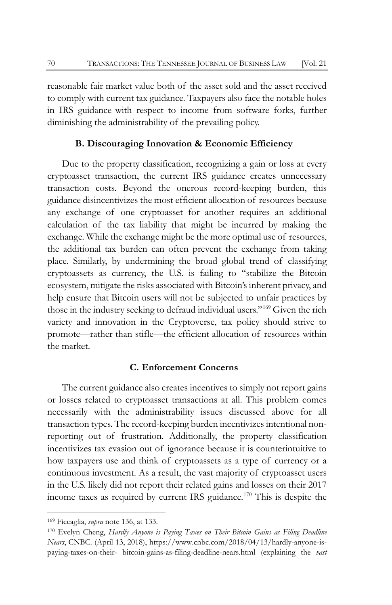reasonable fair market value both of the asset sold and the asset received to comply with current tax guidance. Taxpayers also face the notable holes in IRS guidance with respect to income from software forks, further diminishing the administrability of the prevailing policy.

## **B. Discouraging Innovation & Economic Efficiency**

Due to the property classification, recognizing a gain or loss at every cryptoasset transaction, the current IRS guidance creates unnecessary transaction costs. Beyond the onerous record-keeping burden, this guidance disincentivizes the most efficient allocation of resources because any exchange of one cryptoasset for another requires an additional calculation of the tax liability that might be incurred by making the exchange. While the exchange might be the more optimal use of resources, the additional tax burden can often prevent the exchange from taking place. Similarly, by undermining the broad global trend of classifying cryptoassets as currency, the U.S. is failing to "stabilize the Bitcoin ecosystem, mitigate the risks associated with Bitcoin's inherent privacy, and help ensure that Bitcoin users will not be subjected to unfair practices by those in the industry seeking to defraud individual users."[169](#page-32-0) Given the rich variety and innovation in the Cryptoverse, tax policy should strive to promote—rather than stifle—the efficient allocation of resources within the market.

#### **C. Enforcement Concerns**

The current guidance also creates incentives to simply not report gains or losses related to cryptoasset transactions at all. This problem comes necessarily with the administrability issues discussed above for all transaction types. The record-keeping burden incentivizes intentional nonreporting out of frustration. Additionally, the property classification incentivizes tax evasion out of ignorance because it is counterintuitive to how taxpayers use and think of cryptoassets as a type of currency or a continuous investment. As a result, the vast majority of cryptoasset users in the U.S. likely did not report their related gains and losses on their 2017 income taxes as required by current IRS guidance.<sup>[170](#page-32-1)</sup> This is despite the

<span id="page-32-0"></span><sup>169</sup> Ficcaglia, *supra* note 136, at 133.

<span id="page-32-1"></span><sup>170</sup> Evelyn Cheng, *Hardly Anyone is Paying Taxes on Their Bitcoin Gains as Filing Deadline Nears*, CNBC. (April 13, 2018), https[://www.cnbc.com/2018/04/13/hardly-anyone-is](http://www.cnbc.com/2018/04/13/hardly-anyone-is-paying-taxes-on-their-)[paying-taxes-on-their-](http://www.cnbc.com/2018/04/13/hardly-anyone-is-paying-taxes-on-their-) bitcoin-gains-as-filing-deadline-nears.html (explaining the *vast*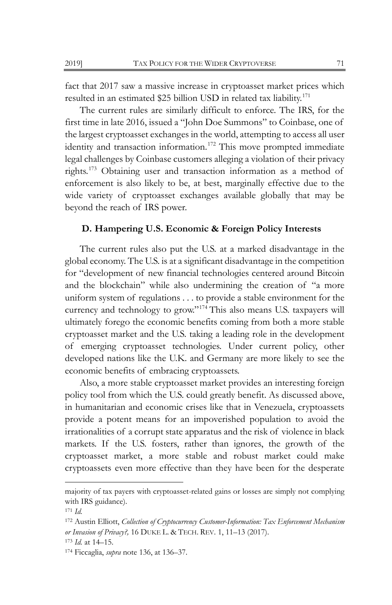fact that 2017 saw a massive increase in cryptoasset market prices which resulted in an estimated \$25 billion USD in related tax liability.<sup>[171](#page-33-0)</sup>

The current rules are similarly difficult to enforce. The IRS, for the first time in late 2016, issued a "John Doe Summons" to Coinbase, one of the largest cryptoasset exchanges in the world, attempting to access all user identity and transaction information.<sup>[172](#page-33-1)</sup> This move prompted immediate legal challenges by Coinbase customers alleging a violation of their privacy rights.[173](#page-33-2) Obtaining user and transaction information as a method of enforcement is also likely to be, at best, marginally effective due to the wide variety of cryptoasset exchanges available globally that may be beyond the reach of IRS power.

## **D. Hampering U.S. Economic & Foreign Policy Interests**

The current rules also put the U.S. at a marked disadvantage in the global economy. The U.S. is at a significant disadvantage in the competition for "development of new financial technologies centered around Bitcoin and the blockchain" while also undermining the creation of "a more uniform system of regulations . . . to provide a stable environment for the currency and technology to grow."[174](#page-33-3) This also means U.S. taxpayers will ultimately forego the economic benefits coming from both a more stable cryptoasset market and the U.S. taking a leading role in the development of emerging cryptoasset technologies. Under current policy, other developed nations like the U.K. and Germany are more likely to see the economic benefits of embracing cryptoassets.

Also, a more stable cryptoasset market provides an interesting foreign policy tool from which the U.S. could greatly benefit. As discussed above, in humanitarian and economic crises like that in Venezuela, cryptoassets provide a potent means for an impoverished population to avoid the irrationalities of a corrupt state apparatus and the risk of violence in black markets. If the U.S. fosters, rather than ignores, the growth of the cryptoasset market, a more stable and robust market could make cryptoassets even more effective than they have been for the desperate

majority of tax payers with cryptoasset-related gains or losses are simply not complying with IRS guidance).

<span id="page-33-0"></span><sup>171</sup> *Id.*

<span id="page-33-1"></span><sup>172</sup> Austin Elliott, *Collection of Cryptocurrency Customer-Information: Tax Enforcement Mechanism or Invasion of Privacy?,* 16 DUKE L. & TECH. REV. 1, 11–13 (2017).

<span id="page-33-2"></span><sup>173</sup> *Id.* at 14–15.

<span id="page-33-3"></span><sup>174</sup> Ficcaglia, *supra* not[e 136,](#page-24-5) at 136–37.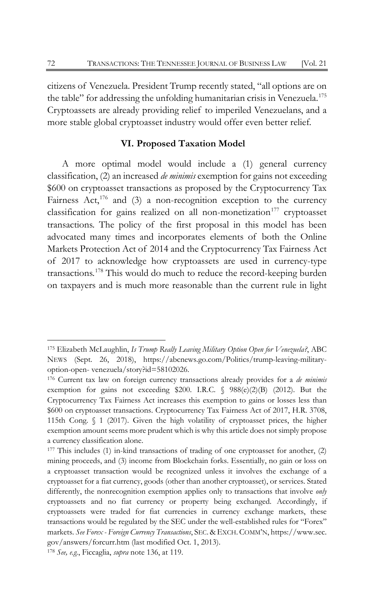citizens of Venezuela. President Trump recently stated, "all options are on the table" for addressing the unfolding humanitarian crisis in Venezuela.<sup>[175](#page-34-0)</sup> Cryptoassets are already providing relief to imperiled Venezuelans, and a more stable global cryptoasset industry would offer even better relief.

## **VI. Proposed Taxation Model**

A more optimal model would include a (1) general currency classification, (2) an increased *de minimis* exemption for gains not exceeding \$600 on cryptoasset transactions as proposed by the Cryptocurrency Tax Fairness Act,<sup>[176](#page-34-1)</sup> and (3) a non-recognition exception to the currency classification for gains realized on all non-monetization<sup>[177](#page-34-2)</sup> cryptoasset transactions. The policy of the first proposal in this model has been advocated many times and incorporates elements of both the Online Markets Protection Act of 2014 and the Cryptocurrency Tax Fairness Act of 2017 to acknowledge how cryptoassets are used in currency-type transactions.[178](#page-34-3) This would do much to reduce the record-keeping burden on taxpayers and is much more reasonable than the current rule in light

<span id="page-34-0"></span><sup>175</sup> Elizabeth McLaughlin, *Is Trump Really Leaving Military Option Open for Venezuela?*, ABC NEWS (Sept. 26, 2018), https://abcnews.go.com/Politics/trump-leaving-militaryoption-open- venezuela/story?id=58102026.

<span id="page-34-1"></span><sup>176</sup> Current tax law on foreign currency transactions already provides for a *de minimis*  exemption for gains not exceeding \$200. I.R.C. § 988(e)(2)(B) (2012). But the Cryptocurrency Tax Fairness Act increases this exemption to gains or losses less than \$600 on cryptoasset transactions. Cryptocurrency Tax Fairness Act of 2017, H.R. 3708, 115th Cong. § 1 (2017). Given the high volatility of cryptoasset prices, the higher exemption amount seems more prudent which is why this article does not simply propose a currency classification alone.

<span id="page-34-2"></span><sup>177</sup> This includes (1) in-kind transactions of trading of one cryptoasset for another, (2) mining proceeds, and (3) income from Blockchain forks. Essentially, no gain or loss on a cryptoasset transaction would be recognized unless it involves the exchange of a cryptoasset for a fiat currency, goods (other than another cryptoasset), or services. Stated differently, the nonrecognition exemption applies only to transactions that involve *only*  cryptoassets and no fiat currency or property being exchanged. Accordingly, if cryptoassets were traded for fiat currencies in currency exchange markets, these transactions would be regulated by the SEC under the well-established rules for "Forex" markets. *See Forex - Foreign Currency Transactions*, SEC. & EXCH.COMM'N, https[://www.sec.](http://www.sec.gov/answers/forcurr.htm) [gov/answers/forcurr.htm \(](http://www.sec.gov/answers/forcurr.htm)last modified Oct. 1, 2013).

<span id="page-34-3"></span><sup>178</sup> *See, e.g.*, Ficcaglia, *supra* not[e 136,](#page-24-5) at 119.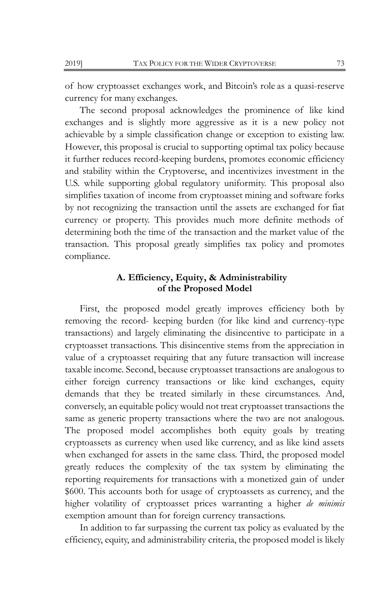of how cryptoasset exchanges work, and Bitcoin's role as a quasi-reserve currency for many exchanges.

The second proposal acknowledges the prominence of like kind exchanges and is slightly more aggressive as it is a new policy not achievable by a simple classification change or exception to existing law. However, this proposal is crucial to supporting optimal tax policy because it further reduces record-keeping burdens, promotes economic efficiency and stability within the Cryptoverse, and incentivizes investment in the U.S. while supporting global regulatory uniformity. This proposal also simplifies taxation of income from cryptoasset mining and software forks by not recognizing the transaction until the assets are exchanged for fiat currency or property. This provides much more definite methods of determining both the time of the transaction and the market value of the transaction. This proposal greatly simplifies tax policy and promotes compliance.

## **A. Efficiency, Equity, & Administrability of the Proposed Model**

First, the proposed model greatly improves efficiency both by removing the record- keeping burden (for like kind and currency-type transactions) and largely eliminating the disincentive to participate in a cryptoasset transactions. This disincentive stems from the appreciation in value of a cryptoasset requiring that any future transaction will increase taxable income. Second, because cryptoasset transactions are analogous to either foreign currency transactions or like kind exchanges, equity demands that they be treated similarly in these circumstances. And, conversely, an equitable policy would not treat cryptoasset transactions the same as generic property transactions where the two are not analogous. The proposed model accomplishes both equity goals by treating cryptoassets as currency when used like currency, and as like kind assets when exchanged for assets in the same class. Third, the proposed model greatly reduces the complexity of the tax system by eliminating the reporting requirements for transactions with a monetized gain of under \$600. This accounts both for usage of cryptoassets as currency, and the higher volatility of cryptoasset prices warranting a higher *de minimis*  exemption amount than for foreign currency transactions.

In addition to far surpassing the current tax policy as evaluated by the efficiency, equity, and administrability criteria, the proposed model is likely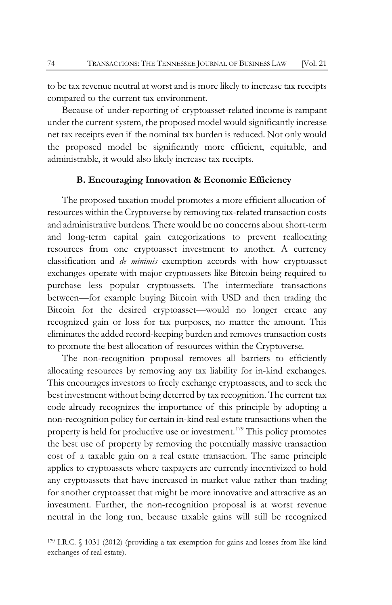to be tax revenue neutral at worst and is more likely to increase tax receipts compared to the current tax environment.

Because of under-reporting of cryptoasset-related income is rampant under the current system, the proposed model would significantly increase net tax receipts even if the nominal tax burden is reduced. Not only would the proposed model be significantly more efficient, equitable, and administrable, it would also likely increase tax receipts.

## **B. Encouraging Innovation & Economic Efficiency**

The proposed taxation model promotes a more efficient allocation of resources within the Cryptoverse by removing tax-related transaction costs and administrative burdens. There would be no concerns about short-term and long-term capital gain categorizations to prevent reallocating resources from one cryptoasset investment to another. A currency classification and *de minimis* exemption accords with how cryptoasset exchanges operate with major cryptoassets like Bitcoin being required to purchase less popular cryptoassets. The intermediate transactions between—for example buying Bitcoin with USD and then trading the Bitcoin for the desired cryptoasset—would no longer create any recognized gain or loss for tax purposes, no matter the amount. This eliminates the added record-keeping burden and removes transaction costs to promote the best allocation of resources within the Cryptoverse.

The non-recognition proposal removes all barriers to efficiently allocating resources by removing any tax liability for in-kind exchanges. This encourages investors to freely exchange cryptoassets, and to seek the best investment without being deterred by tax recognition. The current tax code already recognizes the importance of this principle by adopting a non-recognition policy for certain in-kind real estate transactions when the property is held for productive use or investment.<sup>[179](#page-36-0)</sup> This policy promotes the best use of property by removing the potentially massive transaction cost of a taxable gain on a real estate transaction. The same principle applies to cryptoassets where taxpayers are currently incentivized to hold any cryptoassets that have increased in market value rather than trading for another cryptoasset that might be more innovative and attractive as an investment. Further, the non-recognition proposal is at worst revenue neutral in the long run, because taxable gains will still be recognized

<span id="page-36-0"></span><sup>179</sup> I.R.C. § 1031 (2012) (providing a tax exemption for gains and losses from like kind exchanges of real estate).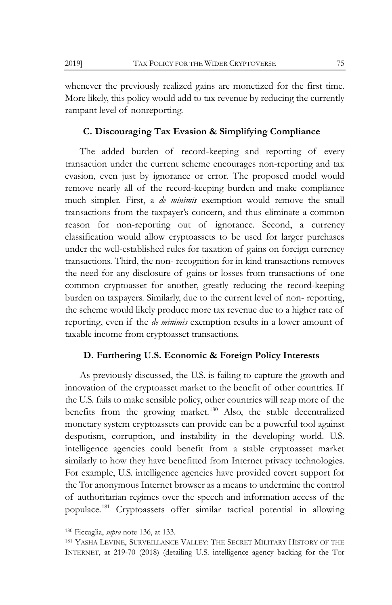whenever the previously realized gains are monetized for the first time. More likely, this policy would add to tax revenue by reducing the currently rampant level of nonreporting.

## **C. Discouraging Tax Evasion & Simplifying Compliance**

The added burden of record-keeping and reporting of every transaction under the current scheme encourages non-reporting and tax evasion, even just by ignorance or error. The proposed model would remove nearly all of the record-keeping burden and make compliance much simpler. First, a *de minimis* exemption would remove the small transactions from the taxpayer's concern, and thus eliminate a common reason for non-reporting out of ignorance. Second, a currency classification would allow cryptoassets to be used for larger purchases under the well-established rules for taxation of gains on foreign currency transactions. Third, the non- recognition for in kind transactions removes the need for any disclosure of gains or losses from transactions of one common cryptoasset for another, greatly reducing the record-keeping burden on taxpayers. Similarly, due to the current level of non- reporting, the scheme would likely produce more tax revenue due to a higher rate of reporting, even if the *de minimis* exemption results in a lower amount of taxable income from cryptoasset transactions.

## **D. Furthering U.S. Economic & Foreign Policy Interests**

As previously discussed, the U.S. is failing to capture the growth and innovation of the cryptoasset market to the benefit of other countries. If the U.S. fails to make sensible policy, other countries will reap more of the benefits from the growing market.<sup>[180](#page-37-0)</sup> Also, the stable decentralized monetary system cryptoassets can provide can be a powerful tool against despotism, corruption, and instability in the developing world. U.S. intelligence agencies could benefit from a stable cryptoasset market similarly to how they have benefitted from Internet privacy technologies. For example, U.S. intelligence agencies have provided covert support for the Tor anonymous Internet browser as a means to undermine the control of authoritarian regimes over the speech and information access of the populace.[181](#page-37-1) Cryptoassets offer similar tactical potential in allowing

<span id="page-37-0"></span><sup>180</sup> Ficcaglia, *supra* not[e 136,](#page-24-5) at 133.

<span id="page-37-1"></span><sup>181</sup> YASHA LEVINE, SURVEILLANCE VALLEY: THE SECRET MILITARY HISTORY OF THE INTERNET, at 219-70 (2018) (detailing U.S. intelligence agency backing for the Tor